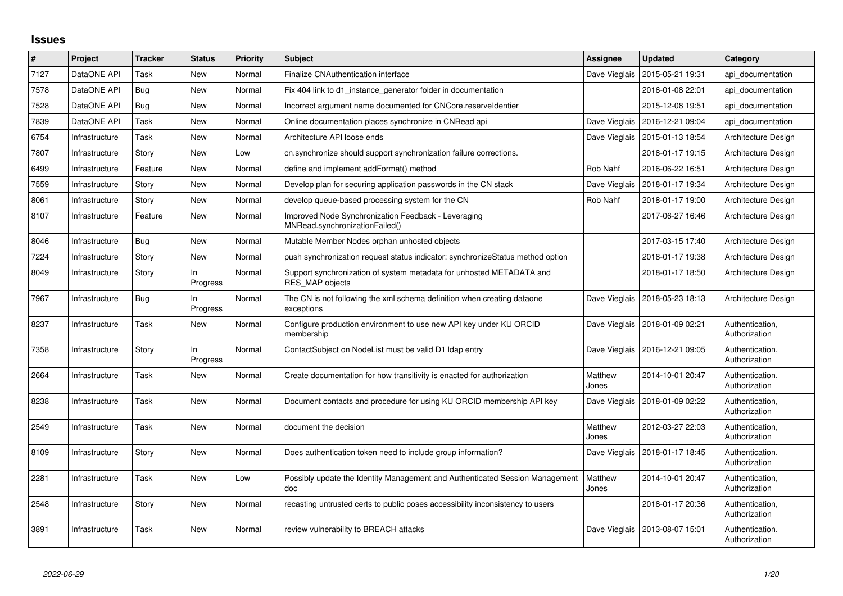## **Issues**

| $\#$ | Project        | <b>Tracker</b> | <b>Status</b>   | <b>Priority</b> | <b>Subject</b>                                                                                 | Assignee         | <b>Updated</b>                   | Category                         |
|------|----------------|----------------|-----------------|-----------------|------------------------------------------------------------------------------------------------|------------------|----------------------------------|----------------------------------|
| 7127 | DataONE API    | Task           | New             | Normal          | Finalize CNAuthentication interface                                                            | Dave Vieglais    | 2015-05-21 19:31                 | api documentation                |
| 7578 | DataONE API    | Bug            | New             | Normal          | Fix 404 link to d1 instance generator folder in documentation                                  |                  | 2016-01-08 22:01                 | api documentation                |
| 7528 | DataONE API    | Bug            | New             | Normal          | Incorrect argument name documented for CNCore.reserveldentier                                  |                  | 2015-12-08 19:51                 | api documentation                |
| 7839 | DataONE API    | Task           | <b>New</b>      | Normal          | Online documentation places synchronize in CNRead api                                          |                  | Dave Vieglais   2016-12-21 09:04 | api documentation                |
| 6754 | Infrastructure | Task           | New             | Normal          | Architecture API loose ends                                                                    | Dave Vieglais    | 2015-01-13 18:54                 | Architecture Design              |
| 7807 | Infrastructure | Story          | <b>New</b>      | Low             | cn.synchronize should support synchronization failure corrections.                             |                  | 2018-01-17 19:15                 | Architecture Design              |
| 6499 | Infrastructure | Feature        | New             | Normal          | define and implement addFormat() method                                                        | Rob Nahf         | 2016-06-22 16:51                 | Architecture Design              |
| 7559 | Infrastructure | Story          | <b>New</b>      | Normal          | Develop plan for securing application passwords in the CN stack                                | Dave Vieglais    | 2018-01-17 19:34                 | Architecture Design              |
| 8061 | Infrastructure | Story          | New             | Normal          | develop queue-based processing system for the CN                                               | Rob Nahf         | 2018-01-17 19:00                 | Architecture Design              |
| 8107 | Infrastructure | Feature        | <b>New</b>      | Normal          | Improved Node Synchronization Feedback - Leveraging<br>MNRead.svnchronizationFailed()          |                  | 2017-06-27 16:46                 | Architecture Design              |
| 8046 | Infrastructure | Bug            | New             | Normal          | Mutable Member Nodes orphan unhosted objects                                                   |                  | 2017-03-15 17:40                 | Architecture Design              |
| 7224 | Infrastructure | Story          | <b>New</b>      | Normal          | push synchronization request status indicator: synchronizeStatus method option                 |                  | 2018-01-17 19:38                 | Architecture Design              |
| 8049 | Infrastructure | Story          | In.<br>Progress | Normal          | Support synchronization of system metadata for unhosted METADATA and<br><b>RES MAP objects</b> |                  | 2018-01-17 18:50                 | Architecture Design              |
| 7967 | Infrastructure | Bug            | ln.<br>Progress | Normal          | The CN is not following the xml schema definition when creating dataone<br>exceptions          | Dave Vieglais    | 2018-05-23 18:13                 | Architecture Design              |
| 8237 | Infrastructure | Task           | <b>New</b>      | Normal          | Configure production environment to use new API key under KU ORCID<br>membership               |                  | Dave Vieglais   2018-01-09 02:21 | Authentication,<br>Authorization |
| 7358 | Infrastructure | Story          | ln.<br>Progress | Normal          | ContactSubject on NodeList must be valid D1 Idap entry                                         | Dave Vieglais    | 2016-12-21 09:05                 | Authentication,<br>Authorization |
| 2664 | Infrastructure | Task           | <b>New</b>      | Normal          | Create documentation for how transitivity is enacted for authorization                         | Matthew<br>Jones | 2014-10-01 20:47                 | Authentication,<br>Authorization |
| 8238 | Infrastructure | Task           | New             | Normal          | Document contacts and procedure for using KU ORCID membership API key                          | Dave Vieglais    | 2018-01-09 02:22                 | Authentication,<br>Authorization |
| 2549 | Infrastructure | Task           | New             | Normal          | document the decision                                                                          | Matthew<br>Jones | 2012-03-27 22:03                 | Authentication,<br>Authorization |
| 8109 | Infrastructure | Story          | New             | Normal          | Does authentication token need to include group information?                                   | Dave Vieglais    | 2018-01-17 18:45                 | Authentication,<br>Authorization |
| 2281 | Infrastructure | Task           | <b>New</b>      | Low             | Possibly update the Identity Management and Authenticated Session Management<br>doc            | Matthew<br>Jones | 2014-10-01 20:47                 | Authentication,<br>Authorization |
| 2548 | Infrastructure | Story          | New             | Normal          | recasting untrusted certs to public poses accessibility inconsistency to users                 |                  | 2018-01-17 20:36                 | Authentication,<br>Authorization |
| 3891 | Infrastructure | Task           | <b>New</b>      | Normal          | review vulnerability to BREACH attacks                                                         | Dave Vieglais    | 2013-08-07 15:01                 | Authentication,<br>Authorization |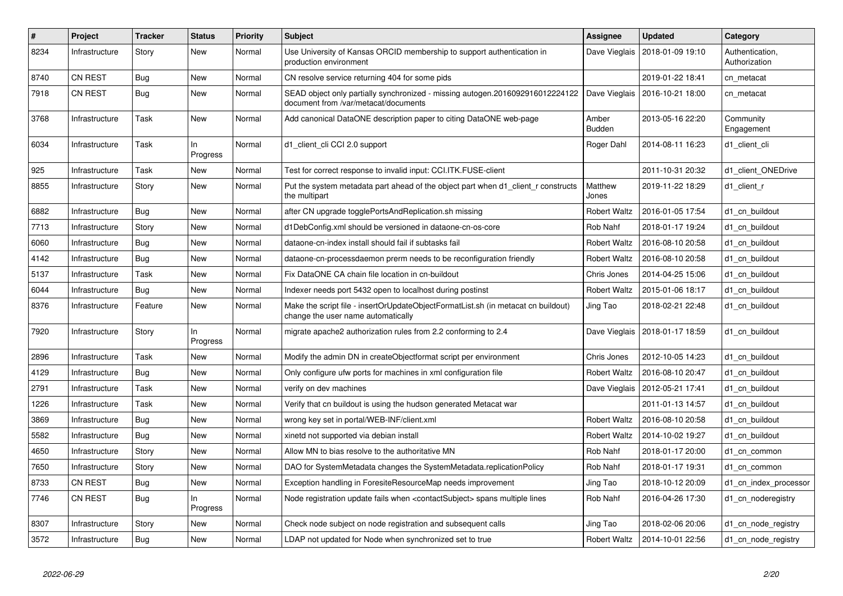| #    | Project        | <b>Tracker</b> | <b>Status</b>   | <b>Priority</b> | <b>Subject</b>                                                                                                          | <b>Assignee</b>        | <b>Updated</b>                   | Category                         |
|------|----------------|----------------|-----------------|-----------------|-------------------------------------------------------------------------------------------------------------------------|------------------------|----------------------------------|----------------------------------|
| 8234 | Infrastructure | Story          | New             | Normal          | Use University of Kansas ORCID membership to support authentication in<br>production environment                        | Dave Vieglais          | 2018-01-09 19:10                 | Authentication,<br>Authorization |
| 8740 | <b>CN REST</b> | Bug            | New             | Normal          | CN resolve service returning 404 for some pids                                                                          |                        | 2019-01-22 18:41                 | cn metacat                       |
| 7918 | <b>CN REST</b> | Bug            | New             | Normal          | SEAD object only partially synchronized - missing autogen.2016092916012224122<br>document from /var/metacat/documents   |                        | Dave Vieglais   2016-10-21 18:00 | cn metacat                       |
| 3768 | Infrastructure | Task           | New             | Normal          | Add canonical DataONE description paper to citing DataONE web-page                                                      | Amber<br><b>Budden</b> | 2013-05-16 22:20                 | Community<br>Engagement          |
| 6034 | Infrastructure | Task           | ln.<br>Progress | Normal          | d1_client_cli CCI 2.0 support                                                                                           | Roger Dahl             | 2014-08-11 16:23                 | d1_client_cli                    |
| 925  | Infrastructure | Task           | New             | Normal          | Test for correct response to invalid input: CCI.ITK.FUSE-client                                                         |                        | 2011-10-31 20:32                 | d1_client_ONEDrive               |
| 8855 | Infrastructure | Story          | <b>New</b>      | Normal          | Put the system metadata part ahead of the object part when d1 client r constructs<br>the multipart                      | Matthew<br>Jones       | 2019-11-22 18:29                 | d1 client r                      |
| 6882 | Infrastructure | <b>Bug</b>     | New             | Normal          | after CN upgrade togglePortsAndReplication.sh missing                                                                   | <b>Robert Waltz</b>    | 2016-01-05 17:54                 | d1 cn buildout                   |
| 7713 | Infrastructure | Story          | New             | Normal          | d1DebConfig.xml should be versioned in dataone-cn-os-core                                                               | Rob Nahf               | 2018-01-17 19:24                 | d1 cn buildout                   |
| 6060 | Infrastructure | <b>Bug</b>     | New             | Normal          | dataone-cn-index install should fail if subtasks fail                                                                   | <b>Robert Waltz</b>    | 2016-08-10 20:58                 | d1 cn buildout                   |
| 4142 | Infrastructure | <b>Bug</b>     | <b>New</b>      | Normal          | dataone-cn-processdaemon prerm needs to be reconfiguration friendly                                                     | <b>Robert Waltz</b>    | 2016-08-10 20:58                 | d1 cn buildout                   |
| 5137 | Infrastructure | Task           | New             | Normal          | Fix DataONE CA chain file location in cn-buildout                                                                       | Chris Jones            | 2014-04-25 15:06                 | d1 cn buildout                   |
| 6044 | Infrastructure | Bug            | New             | Normal          | Indexer needs port 5432 open to localhost during postinst                                                               | <b>Robert Waltz</b>    | 2015-01-06 18:17                 | d1 cn buildout                   |
| 8376 | Infrastructure | Feature        | New             | Normal          | Make the script file - insertOrUpdateObjectFormatList.sh (in metacat cn buildout)<br>change the user name automatically | Jing Tao               | 2018-02-21 22:48                 | d1 cn buildout                   |
| 7920 | Infrastructure | Story          | In<br>Progress  | Normal          | migrate apache2 authorization rules from 2.2 conforming to 2.4                                                          |                        | Dave Vieglais   2018-01-17 18:59 | d1 cn buildout                   |
| 2896 | Infrastructure | Task           | New             | Normal          | Modify the admin DN in createObjectformat script per environment                                                        | Chris Jones            | 2012-10-05 14:23                 | d1 cn buildout                   |
| 4129 | Infrastructure | <b>Bug</b>     | New             | Normal          | Only configure ufw ports for machines in xml configuration file                                                         | <b>Robert Waltz</b>    | 2016-08-10 20:47                 | d1 cn buildout                   |
| 2791 | Infrastructure | Task           | New             | Normal          | verify on dev machines                                                                                                  | Dave Vieglais          | 2012-05-21 17:41                 | d1_cn_buildout                   |
| 1226 | Infrastructure | Task           | New             | Normal          | Verify that cn buildout is using the hudson generated Metacat war                                                       |                        | 2011-01-13 14:57                 | d1 cn buildout                   |
| 3869 | Infrastructure | <b>Bug</b>     | New             | Normal          | wrong key set in portal/WEB-INF/client.xml                                                                              | <b>Robert Waltz</b>    | 2016-08-10 20:58                 | d1 cn buildout                   |
| 5582 | Infrastructure | <b>Bug</b>     | <b>New</b>      | Normal          | xinetd not supported via debian install                                                                                 | <b>Robert Waltz</b>    | 2014-10-02 19:27                 | d1 cn buildout                   |
| 4650 | Infrastructure | Story          | New             | Normal          | Allow MN to bias resolve to the authoritative MN                                                                        | Rob Nahf               | 2018-01-17 20:00                 | d1 cn common                     |
| 7650 | Infrastructure | Story          | New             | Normal          | DAO for SystemMetadata changes the SystemMetadata.replicationPolicy                                                     | Rob Nahf               | 2018-01-17 19:31                 | d1 cn common                     |
| 8733 | <b>CN REST</b> | <b>Bug</b>     | New             | Normal          | Exception handling in ForesiteResourceMap needs improvement                                                             | Jing Tao               | 2018-10-12 20:09                 | d1_cn_index_processor            |
| 7746 | <b>CN REST</b> | Bug            | ln.<br>Progress | Normal          | Node registration update fails when <contactsubject> spans multiple lines</contactsubject>                              | Rob Nahf               | 2016-04-26 17:30                 | d1 cn noderegistry               |
| 8307 | Infrastructure | Story          | New             | Normal          | Check node subject on node registration and subsequent calls                                                            | Jing Tao               | 2018-02-06 20:06                 | d1 cn node registry              |
| 3572 | Infrastructure | Bug            | New             | Normal          | LDAP not updated for Node when synchronized set to true                                                                 | <b>Robert Waltz</b>    | 2014-10-01 22:56                 | d1 cn node registry              |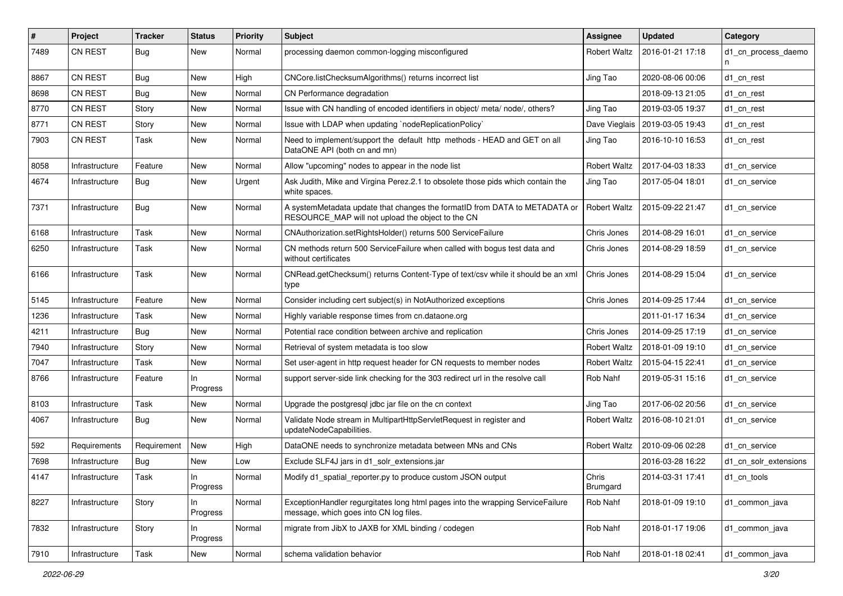| #    | Project        | <b>Tracker</b> | <b>Status</b>  | <b>Priority</b> | <b>Subject</b>                                                                                                                  | <b>Assignee</b>     | <b>Updated</b>   | Category              |
|------|----------------|----------------|----------------|-----------------|---------------------------------------------------------------------------------------------------------------------------------|---------------------|------------------|-----------------------|
| 7489 | CN REST        | <b>Bug</b>     | New            | Normal          | processing daemon common-logging misconfigured                                                                                  | Robert Waltz        | 2016-01-21 17:18 | d1 cn process daemo   |
| 8867 | CN REST        | <b>Bug</b>     | New            | High            | CNCore.listChecksumAlgorithms() returns incorrect list                                                                          | Jing Tao            | 2020-08-06 00:06 | d1 cn rest            |
| 8698 | <b>CN REST</b> | <b>Bug</b>     | New            | Normal          | CN Performance degradation                                                                                                      |                     | 2018-09-13 21:05 | d1 cn rest            |
| 8770 | <b>CN REST</b> | Story          | New            | Normal          | Issue with CN handling of encoded identifiers in object/ meta/ node/, others?                                                   | Jing Tao            | 2019-03-05 19:37 | d1 cn rest            |
| 8771 | <b>CN REST</b> | Story          | New            | Normal          | Issue with LDAP when updating `nodeReplicationPolicy`                                                                           | Dave Vieglais       | 2019-03-05 19:43 | d1 cn rest            |
| 7903 | CN REST        | Task           | New            | Normal          | Need to implement/support the default http methods - HEAD and GET on all<br>DataONE API (both cn and mn)                        | Jing Tao            | 2016-10-10 16:53 | d1 cn rest            |
| 8058 | Infrastructure | Feature        | New            | Normal          | Allow "upcoming" nodes to appear in the node list                                                                               | <b>Robert Waltz</b> | 2017-04-03 18:33 | d1_cn_service         |
| 4674 | Infrastructure | <b>Bug</b>     | New            | Urgent          | Ask Judith, Mike and Virgina Perez.2.1 to obsolete those pids which contain the<br>white spaces.                                | Jing Tao            | 2017-05-04 18:01 | d1 cn service         |
| 7371 | Infrastructure | Bug            | New            | Normal          | A systemMetadata update that changes the formatID from DATA to METADATA or<br>RESOURCE_MAP will not upload the object to the CN | <b>Robert Waltz</b> | 2015-09-22 21:47 | d1 cn service         |
| 6168 | Infrastructure | Task           | New            | Normal          | CNAuthorization.setRightsHolder() returns 500 ServiceFailure                                                                    | Chris Jones         | 2014-08-29 16:01 | d1 cn service         |
| 6250 | Infrastructure | Task           | New            | Normal          | CN methods return 500 ServiceFailure when called with bogus test data and<br>without certificates                               | Chris Jones         | 2014-08-29 18:59 | d1 cn service         |
| 6166 | Infrastructure | Task           | New            | Normal          | CNRead.getChecksum() returns Content-Type of text/csv while it should be an xml<br>type                                         | Chris Jones         | 2014-08-29 15:04 | d1_cn_service         |
| 5145 | Infrastructure | Feature        | New            | Normal          | Consider including cert subject(s) in NotAuthorized exceptions                                                                  | Chris Jones         | 2014-09-25 17:44 | d1 cn service         |
| 1236 | Infrastructure | Task           | New            | Normal          | Highly variable response times from cn.dataone.org                                                                              |                     | 2011-01-17 16:34 | d1 cn service         |
| 4211 | Infrastructure | <b>Bug</b>     | New            | Normal          | Potential race condition between archive and replication                                                                        | Chris Jones         | 2014-09-25 17:19 | d1 cn service         |
| 7940 | Infrastructure | Story          | New            | Normal          | Retrieval of system metadata is too slow                                                                                        | Robert Waltz        | 2018-01-09 19:10 | d1 cn service         |
| 7047 | Infrastructure | Task           | New            | Normal          | Set user-agent in http request header for CN requests to member nodes                                                           | <b>Robert Waltz</b> | 2015-04-15 22:41 | d1 cn service         |
| 8766 | Infrastructure | Feature        | In<br>Progress | Normal          | support server-side link checking for the 303 redirect url in the resolve call                                                  | Rob Nahf            | 2019-05-31 15:16 | d1 cn service         |
| 8103 | Infrastructure | Task           | New            | Normal          | Upgrade the postgresql jdbc jar file on the cn context                                                                          | Jing Tao            | 2017-06-02 20:56 | d1 cn service         |
| 4067 | Infrastructure | <b>Bug</b>     | New            | Normal          | Validate Node stream in MultipartHttpServletRequest in register and<br>updateNodeCapabilities.                                  | <b>Robert Waltz</b> | 2016-08-10 21:01 | d1 cn service         |
| 592  | Requirements   | Requirement    | New            | High            | DataONE needs to synchronize metadata between MNs and CNs                                                                       | Robert Waltz        | 2010-09-06 02:28 | d1 cn service         |
| 7698 | Infrastructure | <b>Bug</b>     | New            | Low             | Exclude SLF4J jars in d1 solr extensions.jar                                                                                    |                     | 2016-03-28 16:22 | d1 cn solr extensions |
| 4147 | Infrastructure | Task           | Progress       | Normal          | Modify d1_spatial_reporter.py to produce custom JSON output                                                                     | Chris<br>Brumgard   | 2014-03-31 17:41 | d1_cn_tools           |
| 8227 | Infrastructure | Story          | In<br>Progress | Normal          | ExceptionHandler regurgitates long html pages into the wrapping ServiceFailure<br>message, which goes into CN log files.        | Rob Nahf            | 2018-01-09 19:10 | d1 common java        |
| 7832 | Infrastructure | Story          | In<br>Progress | Normal          | migrate from JibX to JAXB for XML binding / codegen                                                                             | Rob Nahf            | 2018-01-17 19:06 | d1 common java        |
| 7910 | Infrastructure | Task           | New            | Normal          | schema validation behavior                                                                                                      | Rob Nahf            | 2018-01-18 02:41 | d1_common_java        |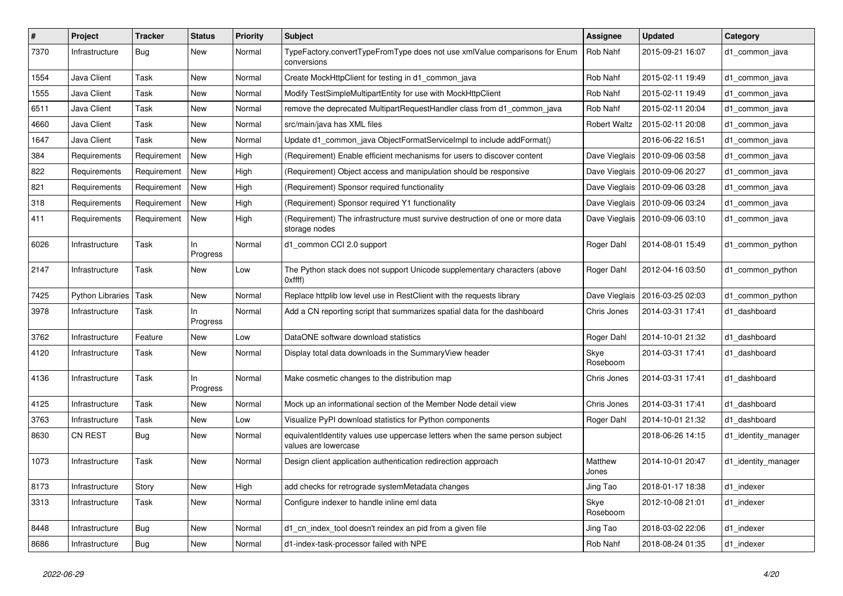| #    | Project                 | <b>Tracker</b> | <b>Status</b>   | <b>Priority</b> | <b>Subject</b>                                                                                       | Assignee            | <b>Updated</b>                   | Category            |
|------|-------------------------|----------------|-----------------|-----------------|------------------------------------------------------------------------------------------------------|---------------------|----------------------------------|---------------------|
| 7370 | Infrastructure          | <b>Bug</b>     | <b>New</b>      | Normal          | TypeFactory.convertTypeFromType does not use xmlValue comparisons for Enum<br>conversions            | Rob Nahf            | 2015-09-21 16:07                 | d1 common java      |
| 1554 | Java Client             | Task           | New             | Normal          | Create MockHttpClient for testing in d1_common_java                                                  | Rob Nahf            | 2015-02-11 19:49                 | d1_common_java      |
| 1555 | Java Client             | Task           | New             | Normal          | Modify TestSimpleMultipartEntity for use with MockHttpClient                                         | Rob Nahf            | 2015-02-11 19:49                 | d1_common_java      |
| 6511 | Java Client             | Task           | New             | Normal          | remove the deprecated MultipartRequestHandler class from d1_common_java                              | Rob Nahf            | 2015-02-11 20:04                 | d1_common_java      |
| 4660 | Java Client             | Task           | <b>New</b>      | Normal          | src/main/java has XML files                                                                          | <b>Robert Waltz</b> | 2015-02-11 20:08                 | d1_common_java      |
| 1647 | Java Client             | Task           | New             | Normal          | Update d1_common_java ObjectFormatServiceImpl to include addFormat()                                 |                     | 2016-06-22 16:51                 | d1_common_java      |
| 384  | Requirements            | Requirement    | New             | High            | (Requirement) Enable efficient mechanisms for users to discover content                              | Dave Vieglais       | 2010-09-06 03:58                 | d1 common java      |
| 822  | Requirements            | Requirement    | New             | High            | (Requirement) Object access and manipulation should be responsive                                    | Dave Vieglais       | 2010-09-06 20:27                 | d1 common java      |
| 821  | Requirements            | Requirement    | New             | High            | (Requirement) Sponsor required functionality                                                         |                     | Dave Vieglais   2010-09-06 03:28 | d1 common java      |
| 318  | Requirements            | Requirement    | <b>New</b>      | High            | (Requirement) Sponsor required Y1 functionality                                                      | Dave Vieglais       | 2010-09-06 03:24                 | d1 common java      |
| 411  | Requirements            | Requirement    | New             | High            | (Requirement) The infrastructure must survive destruction of one or more data<br>storage nodes       | Dave Vieglais       | 2010-09-06 03:10                 | d1 common java      |
| 6026 | Infrastructure          | Task           | In.<br>Progress | Normal          | d1_common CCI 2.0 support                                                                            | Roger Dahl          | 2014-08-01 15:49                 | d1 common python    |
| 2147 | Infrastructure          | Task           | New             | Low             | The Python stack does not support Unicode supplementary characters (above<br>Oxffff)                 | Roger Dahl          | 2012-04-16 03:50                 | d1 common python    |
| 7425 | <b>Python Libraries</b> | Task           | <b>New</b>      | Normal          | Replace httplib low level use in RestClient with the requests library                                | Dave Vieglais       | 2016-03-25 02:03                 | d1_common_python    |
| 3978 | Infrastructure          | Task           | In.<br>Progress | Normal          | Add a CN reporting script that summarizes spatial data for the dashboard                             | Chris Jones         | 2014-03-31 17:41                 | d1 dashboard        |
| 3762 | Infrastructure          | Feature        | New             | Low             | DataONE software download statistics                                                                 | Roger Dahl          | 2014-10-01 21:32                 | d1 dashboard        |
| 4120 | Infrastructure          | Task           | New             | Normal          | Display total data downloads in the Summary View header                                              | Skye<br>Roseboom    | 2014-03-31 17:41                 | d1 dashboard        |
| 4136 | Infrastructure          | Task           | In<br>Progress  | Normal          | Make cosmetic changes to the distribution map                                                        | Chris Jones         | 2014-03-31 17:41                 | d1 dashboard        |
| 4125 | Infrastructure          | Task           | New             | Normal          | Mock up an informational section of the Member Node detail view                                      | Chris Jones         | 2014-03-31 17:41                 | d1 dashboard        |
| 3763 | Infrastructure          | Task           | New             | Low             | Visualize PyPI download statistics for Python components                                             | Roger Dahl          | 2014-10-01 21:32                 | d1 dashboard        |
| 8630 | CN REST                 | <b>Bug</b>     | New             | Normal          | equivalentIdentity values use uppercase letters when the same person subject<br>values are lowercase |                     | 2018-06-26 14:15                 | d1_identity_manager |
| 1073 | Infrastructure          | Task           | <b>New</b>      | Normal          | Design client application authentication redirection approach                                        | Matthew<br>Jones    | 2014-10-01 20:47                 | d1_identity_manager |
| 8173 | Infrastructure          | Story          | New             | High            | add checks for retrograde systemMetadata changes                                                     | Jing Tao            | 2018-01-17 18:38                 | d1 indexer          |
| 3313 | Infrastructure          | Task           | <b>New</b>      | Normal          | Configure indexer to handle inline eml data                                                          | Skye<br>Roseboom    | 2012-10-08 21:01                 | d1 indexer          |
| 8448 | Infrastructure          | Bug            | <b>New</b>      | Normal          | d1 cn index tool doesn't reindex an pid from a given file                                            | Jing Tao            | 2018-03-02 22:06                 | d1_indexer          |
| 8686 | Infrastructure          | Bug            | <b>New</b>      | Normal          | d1-index-task-processor failed with NPE                                                              | Rob Nahf            | 2018-08-24 01:35                 | d1 indexer          |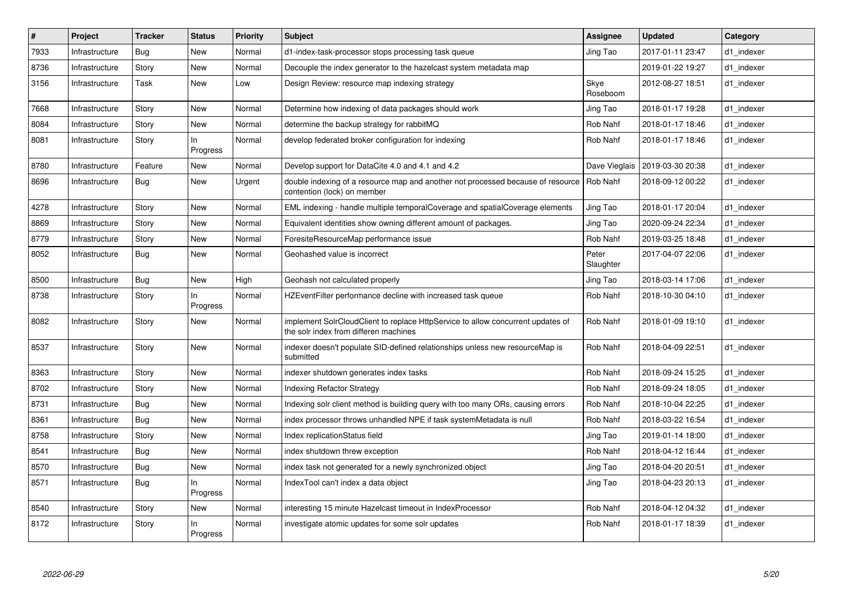| $\vert$ # | Project        | <b>Tracker</b> | <b>Status</b>   | <b>Priority</b> | <b>Subject</b>                                                                                                           | <b>Assignee</b>    | <b>Updated</b>   | Category   |
|-----------|----------------|----------------|-----------------|-----------------|--------------------------------------------------------------------------------------------------------------------------|--------------------|------------------|------------|
| 7933      | Infrastructure | <b>Bug</b>     | New             | Normal          | d1-index-task-processor stops processing task queue                                                                      | Jing Tao           | 2017-01-11 23:47 | d1 indexer |
| 8736      | Infrastructure | Story          | New             | Normal          | Decouple the index generator to the hazelcast system metadata map                                                        |                    | 2019-01-22 19:27 | d1 indexer |
| 3156      | Infrastructure | Task           | New             | Low             | Design Review: resource map indexing strategy                                                                            | Skye<br>Roseboom   | 2012-08-27 18:51 | d1 indexer |
| 7668      | Infrastructure | Story          | <b>New</b>      | Normal          | Determine how indexing of data packages should work                                                                      | Jing Tao           | 2018-01-17 19:28 | d1 indexer |
| 8084      | Infrastructure | Story          | New             | Normal          | determine the backup strategy for rabbitMQ                                                                               | Rob Nahf           | 2018-01-17 18:46 | d1 indexer |
| 8081      | Infrastructure | Story          | ln.<br>Progress | Normal          | develop federated broker configuration for indexing                                                                      | Rob Nahf           | 2018-01-17 18:46 | d1 indexer |
| 8780      | Infrastructure | Feature        | New             | Normal          | Develop support for DataCite 4.0 and 4.1 and 4.2                                                                         | Dave Vieglais      | 2019-03-30 20:38 | d1_indexer |
| 8696      | Infrastructure | <b>Bug</b>     | New             | Urgent          | double indexing of a resource map and another not processed because of resource<br>contention (lock) on member           | Rob Nahf           | 2018-09-12 00:22 | d1_indexer |
| 4278      | Infrastructure | Story          | New             | Normal          | EML indexing - handle multiple temporalCoverage and spatialCoverage elements                                             | Jing Tao           | 2018-01-17 20:04 | d1 indexer |
| 8869      | Infrastructure | Story          | New             | Normal          | Equivalent identities show owning different amount of packages.                                                          | Jing Tao           | 2020-09-24 22:34 | d1_indexer |
| 8779      | Infrastructure | Story          | New             | Normal          | ForesiteResourceMap performance issue                                                                                    | Rob Nahf           | 2019-03-25 18:48 | d1 indexer |
| 8052      | Infrastructure | Bug            | New             | Normal          | Geohashed value is incorrect                                                                                             | Peter<br>Slaughter | 2017-04-07 22:06 | d1_indexer |
| 8500      | Infrastructure | <b>Bug</b>     | New             | High            | Geohash not calculated properly                                                                                          | Jing Tao           | 2018-03-14 17:06 | d1_indexer |
| 8738      | Infrastructure | Story          | In<br>Progress  | Normal          | HZEventFilter performance decline with increased task queue                                                              | Rob Nahf           | 2018-10-30 04:10 | d1 indexer |
| 8082      | Infrastructure | Story          | New             | Normal          | implement SolrCloudClient to replace HttpService to allow concurrent updates of<br>the solr index from differen machines | Rob Nahf           | 2018-01-09 19:10 | d1_indexer |
| 8537      | Infrastructure | Story          | New             | Normal          | indexer doesn't populate SID-defined relationships unless new resourceMap is<br>submitted                                | Rob Nahf           | 2018-04-09 22:51 | d1 indexer |
| 8363      | Infrastructure | Story          | New             | Normal          | indexer shutdown generates index tasks                                                                                   | Rob Nahf           | 2018-09-24 15:25 | d1 indexer |
| 8702      | Infrastructure | Story          | New             | Normal          | <b>Indexing Refactor Strategy</b>                                                                                        | Rob Nahf           | 2018-09-24 18:05 | d1_indexer |
| 8731      | Infrastructure | <b>Bug</b>     | New             | Normal          | Indexing solr client method is building query with too many ORs, causing errors                                          | Rob Nahf           | 2018-10-04 22:25 | d1_indexer |
| 8361      | Infrastructure | <b>Bug</b>     | New             | Normal          | index processor throws unhandled NPE if task systemMetadata is null                                                      | Rob Nahf           | 2018-03-22 16:54 | d1_indexer |
| 8758      | Infrastructure | Story          | New             | Normal          | Index replicationStatus field                                                                                            | Jing Tao           | 2019-01-14 18:00 | d1 indexer |
| 8541      | Infrastructure | <b>Bug</b>     | New             | Normal          | index shutdown threw exception                                                                                           | Rob Nahf           | 2018-04-12 16:44 | d1_indexer |
| 8570      | Infrastructure | Bug            | New             | Normal          | index task not generated for a newly synchronized object                                                                 | Jing Tao           | 2018-04-20 20:51 | d1 indexer |
| 8571      | Infrastructure | Bug            | ln.<br>Progress | Normal          | IndexTool can't index a data object                                                                                      | Jing Tao           | 2018-04-23 20:13 | d1 indexer |
| 8540      | Infrastructure | Story          | New             | Normal          | interesting 15 minute Hazelcast timeout in IndexProcessor                                                                | Rob Nahf           | 2018-04-12 04:32 | d1 indexer |
| 8172      | Infrastructure | Story          | ln.<br>Progress | Normal          | investigate atomic updates for some solr updates                                                                         | Rob Nahf           | 2018-01-17 18:39 | d1_indexer |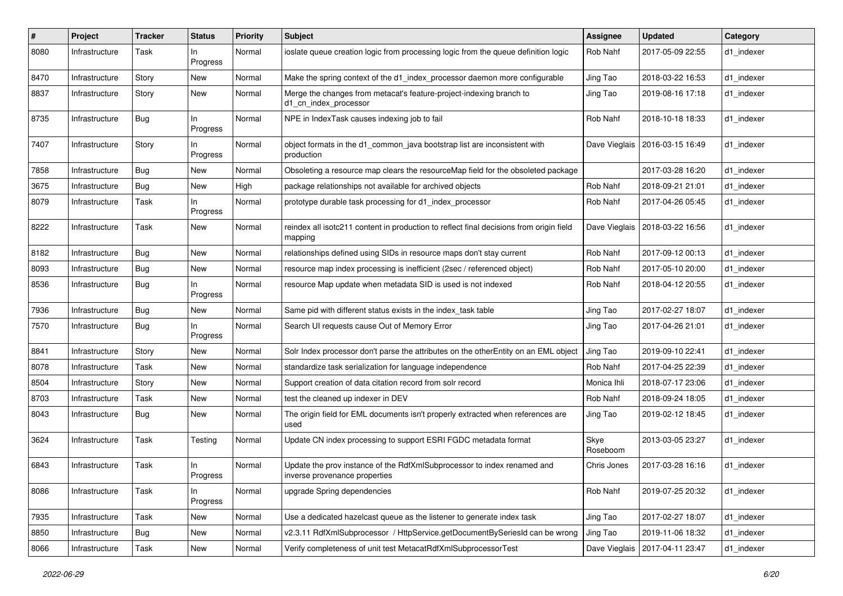| #    | Project        | <b>Tracker</b> | <b>Status</b>   | <b>Priority</b> | Subject                                                                                                  | <b>Assignee</b>  | <b>Updated</b>                   | Category   |
|------|----------------|----------------|-----------------|-----------------|----------------------------------------------------------------------------------------------------------|------------------|----------------------------------|------------|
| 8080 | Infrastructure | Task           | In.<br>Progress | Normal          | ioslate queue creation logic from processing logic from the queue definition logic                       | Rob Nahf         | 2017-05-09 22:55                 | d1 indexer |
| 8470 | Infrastructure | Story          | New             | Normal          | Make the spring context of the d1 index processor daemon more configurable                               | Jing Tao         | 2018-03-22 16:53                 | d1 indexer |
| 8837 | Infrastructure | Story          | New             | Normal          | Merge the changes from metacat's feature-project-indexing branch to<br>d1_cn_index_processor             | Jing Tao         | 2019-08-16 17:18                 | d1 indexer |
| 8735 | Infrastructure | Bug            | ln.<br>Progress | Normal          | NPE in IndexTask causes indexing job to fail                                                             | Rob Nahf         | 2018-10-18 18:33                 | d1_indexer |
| 7407 | Infrastructure | Story          | ln.<br>Progress | Normal          | object formats in the d1_common_java bootstrap list are inconsistent with<br>production                  |                  | Dave Vieglais   2016-03-15 16:49 | d1 indexer |
| 7858 | Infrastructure | <b>Bug</b>     | New             | Normal          | Obsoleting a resource map clears the resourceMap field for the obsoleted package                         |                  | 2017-03-28 16:20                 | d1 indexer |
| 3675 | Infrastructure | <b>Bug</b>     | New             | High            | package relationships not available for archived objects                                                 | Rob Nahf         | 2018-09-21 21:01                 | d1 indexer |
| 8079 | Infrastructure | Task           | ln.<br>Progress | Normal          | prototype durable task processing for d1_index_processor                                                 | Rob Nahf         | 2017-04-26 05:45                 | d1 indexer |
| 8222 | Infrastructure | Task           | New             | Normal          | reindex all isotc211 content in production to reflect final decisions from origin field<br>mapping       |                  | Dave Vieglais   2018-03-22 16:56 | d1_indexer |
| 8182 | Infrastructure | <b>Bug</b>     | New             | Normal          | relationships defined using SIDs in resource maps don't stay current                                     | Rob Nahf         | 2017-09-12 00:13                 | d1_indexer |
| 8093 | Infrastructure | <b>Bug</b>     | New             | Normal          | resource map index processing is inefficient (2sec / referenced object)                                  | Rob Nahf         | 2017-05-10 20:00                 | d1 indexer |
| 8536 | Infrastructure | <b>Bug</b>     | In.<br>Progress | Normal          | resource Map update when metadata SID is used is not indexed                                             | Rob Nahf         | 2018-04-12 20:55                 | d1 indexer |
| 7936 | Infrastructure | Bug            | New             | Normal          | Same pid with different status exists in the index_task table                                            | Jing Tao         | 2017-02-27 18:07                 | d1 indexer |
| 7570 | Infrastructure | <b>Bug</b>     | ln.<br>Progress | Normal          | Search UI requests cause Out of Memory Error                                                             | Jing Tao         | 2017-04-26 21:01                 | d1 indexer |
| 8841 | Infrastructure | Story          | New             | Normal          | Solr Index processor don't parse the attributes on the otherEntity on an EML object                      | Jing Tao         | 2019-09-10 22:41                 | d1_indexer |
| 8078 | Infrastructure | Task           | New             | Normal          | standardize task serialization for language independence                                                 | Rob Nahf         | 2017-04-25 22:39                 | d1 indexer |
| 8504 | Infrastructure | Story          | New             | Normal          | Support creation of data citation record from solr record                                                | Monica Ihli      | 2018-07-17 23:06                 | d1 indexer |
| 8703 | Infrastructure | Task           | New             | Normal          | test the cleaned up indexer in DEV                                                                       | Rob Nahf         | 2018-09-24 18:05                 | d1 indexer |
| 8043 | Infrastructure | <b>Bug</b>     | New             | Normal          | The origin field for EML documents isn't properly extracted when references are<br>used                  | Jing Tao         | 2019-02-12 18:45                 | d1 indexer |
| 3624 | Infrastructure | Task           | Testing         | Normal          | Update CN index processing to support ESRI FGDC metadata format                                          | Skye<br>Roseboom | 2013-03-05 23:27                 | d1_indexer |
| 6843 | Infrastructure | Task           | ln.<br>Progress | Normal          | Update the prov instance of the RdfXmlSubprocessor to index renamed and<br>inverse provenance properties | Chris Jones      | 2017-03-28 16:16                 | d1_indexer |
| 8086 | Infrastructure | Task           | In<br>Progress  | Normal          | upgrade Spring dependencies                                                                              | Rob Nahf         | 2019-07-25 20:32                 | d1 indexer |
| 7935 | Infrastructure | Task           | New             | Normal          | Use a dedicated hazelcast queue as the listener to generate index task                                   | Jing Tao         | 2017-02-27 18:07                 | d1_indexer |
| 8850 | Infrastructure | <b>Bug</b>     | New             | Normal          | v2.3.11 RdfXmlSubprocessor / HttpService.getDocumentBySeriesId can be wrong                              | Jing Tao         | 2019-11-06 18:32                 | d1 indexer |
| 8066 | Infrastructure | Task           | New             | Normal          | Verify completeness of unit test MetacatRdfXmlSubprocessorTest                                           |                  | Dave Vieglais   2017-04-11 23:47 | d1_indexer |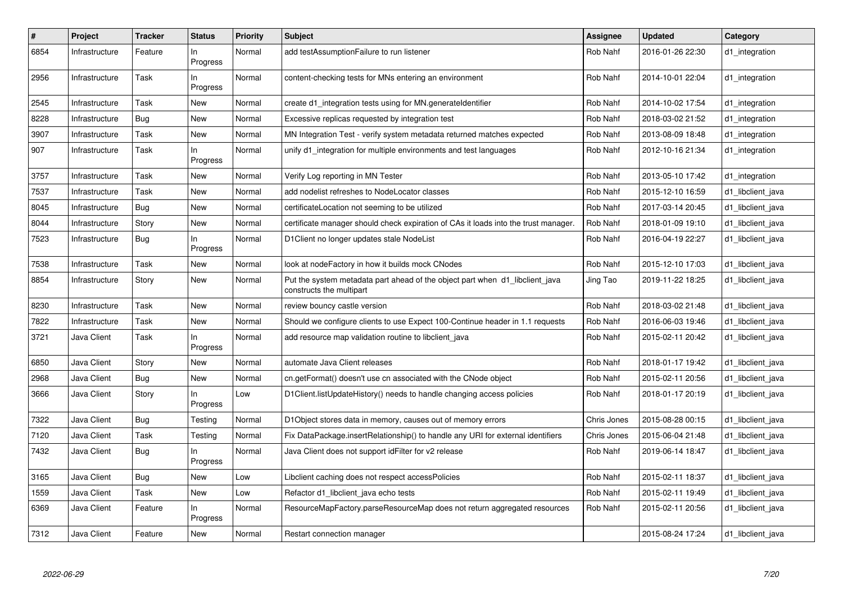| $\sharp$ | Project        | <b>Tracker</b> | <b>Status</b>   | <b>Priority</b> | <b>Subject</b>                                                                                           | <b>Assignee</b> | <b>Updated</b>   | Category          |
|----------|----------------|----------------|-----------------|-----------------|----------------------------------------------------------------------------------------------------------|-----------------|------------------|-------------------|
| 6854     | Infrastructure | Feature        | In.<br>Progress | Normal          | add testAssumptionFailure to run listener                                                                | Rob Nahf        | 2016-01-26 22:30 | d1 integration    |
| 2956     | Infrastructure | Task           | In.<br>Progress | Normal          | content-checking tests for MNs entering an environment                                                   | Rob Nahf        | 2014-10-01 22:04 | d1_integration    |
| 2545     | Infrastructure | Task           | <b>New</b>      | Normal          | create d1 integration tests using for MN generateldentifier                                              | Rob Nahf        | 2014-10-02 17:54 | d1 integration    |
| 8228     | Infrastructure | <b>Bug</b>     | <b>New</b>      | Normal          | Excessive replicas requested by integration test                                                         | Rob Nahf        | 2018-03-02 21:52 | d1_integration    |
| 3907     | Infrastructure | Task           | New             | Normal          | MN Integration Test - verify system metadata returned matches expected                                   | Rob Nahf        | 2013-08-09 18:48 | d1_integration    |
| 907      | Infrastructure | Task           | In.<br>Progress | Normal          | unify d1 integration for multiple environments and test languages                                        | Rob Nahf        | 2012-10-16 21:34 | d1 integration    |
| 3757     | Infrastructure | Task           | <b>New</b>      | Normal          | Verify Log reporting in MN Tester                                                                        | Rob Nahf        | 2013-05-10 17:42 | d1_integration    |
| 7537     | Infrastructure | Task           | <b>New</b>      | Normal          | add nodelist refreshes to NodeLocator classes                                                            | Rob Nahf        | 2015-12-10 16:59 | d1 libclient java |
| 8045     | Infrastructure | <b>Bug</b>     | <b>New</b>      | Normal          | certificateLocation not seeming to be utilized                                                           | Rob Nahf        | 2017-03-14 20:45 | d1_libclient_java |
| 8044     | Infrastructure | Story          | <b>New</b>      | Normal          | certificate manager should check expiration of CAs it loads into the trust manager.                      | Rob Nahf        | 2018-01-09 19:10 | d1_libclient_java |
| 7523     | Infrastructure | Bug            | In.<br>Progress | Normal          | D1Client no longer updates stale NodeList                                                                | Rob Nahf        | 2016-04-19 22:27 | d1 libclient java |
| 7538     | Infrastructure | Task           | <b>New</b>      | Normal          | look at nodeFactory in how it builds mock CNodes                                                         | Rob Nahf        | 2015-12-10 17:03 | d1_libclient_java |
| 8854     | Infrastructure | Story          | New             | Normal          | Put the system metadata part ahead of the object part when d1_libclient_java<br>constructs the multipart | Jing Tao        | 2019-11-22 18:25 | d1 libclient java |
| 8230     | Infrastructure | Task           | New             | Normal          | review bouncy castle version                                                                             | Rob Nahf        | 2018-03-02 21:48 | d1_libclient_java |
| 7822     | Infrastructure | Task           | <b>New</b>      | Normal          | Should we configure clients to use Expect 100-Continue header in 1.1 requests                            | Rob Nahf        | 2016-06-03 19:46 | d1 libclient java |
| 3721     | Java Client    | Task           | In.<br>Progress | Normal          | add resource map validation routine to libclient java                                                    | Rob Nahf        | 2015-02-11 20:42 | d1 libclient java |
| 6850     | Java Client    | Story          | <b>New</b>      | Normal          | automate Java Client releases                                                                            | Rob Nahf        | 2018-01-17 19:42 | d1 libclient java |
| 2968     | Java Client    | Bug            | New             | Normal          | cn.getFormat() doesn't use cn associated with the CNode object                                           | Rob Nahf        | 2015-02-11 20:56 | d1 libclient java |
| 3666     | Java Client    | Story          | In<br>Progress  | Low             | D1Client.listUpdateHistory() needs to handle changing access policies                                    | Rob Nahf        | 2018-01-17 20:19 | d1_libclient_java |
| 7322     | Java Client    | <b>Bug</b>     | Testing         | Normal          | D1Object stores data in memory, causes out of memory errors                                              | Chris Jones     | 2015-08-28 00:15 | d1 libclient java |
| 7120     | Java Client    | Task           | Testing         | Normal          | Fix DataPackage.insertRelationship() to handle any URI for external identifiers                          | Chris Jones     | 2015-06-04 21:48 | d1_libclient_java |
| 7432     | Java Client    | <b>Bug</b>     | In<br>Progress  | Normal          | Java Client does not support idFilter for v2 release                                                     | Rob Nahf        | 2019-06-14 18:47 | d1 libclient java |
| 3165     | Java Client    | Bug            | <b>New</b>      | Low             | Libclient caching does not respect accessPolicies                                                        | Rob Nahf        | 2015-02-11 18:37 | d1_libclient_java |
| 1559     | Java Client    | Task           | <b>New</b>      | Low             | Refactor d1_libclient_java echo tests                                                                    | Rob Nahf        | 2015-02-11 19:49 | d1_libclient_java |
| 6369     | Java Client    | Feature        | In<br>Progress  | Normal          | ResourceMapFactory.parseResourceMap does not return aggregated resources                                 | Rob Nahf        | 2015-02-11 20:56 | d1 libclient java |
| 7312     | Java Client    | Feature        | <b>New</b>      | Normal          | Restart connection manager                                                                               |                 | 2015-08-24 17:24 | d1_libclient_java |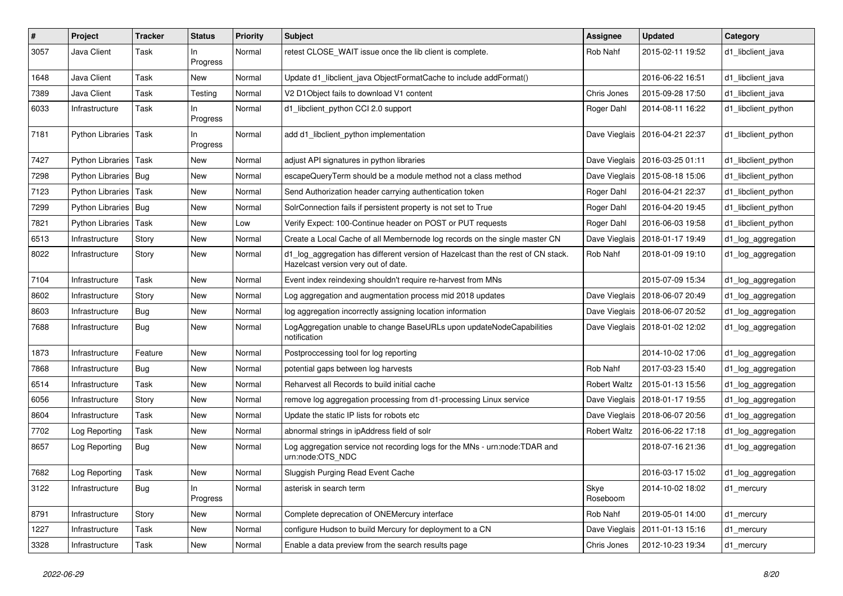| $\#$ | Project                 | <b>Tracker</b> | <b>Status</b>   | <b>Priority</b> | Subject                                                                                                                 | Assignee            | <b>Updated</b>                   | Category            |
|------|-------------------------|----------------|-----------------|-----------------|-------------------------------------------------------------------------------------------------------------------------|---------------------|----------------------------------|---------------------|
| 3057 | Java Client             | Task           | In.<br>Progress | Normal          | retest CLOSE WAIT issue once the lib client is complete.                                                                | Rob Nahf            | 2015-02-11 19:52                 | d1 libclient java   |
| 1648 | Java Client             | Task           | New             | Normal          | Update d1 libclient java ObjectFormatCache to include addFormat()                                                       |                     | 2016-06-22 16:51                 | d1 libclient java   |
| 7389 | Java Client             | Task           | Testing         | Normal          | V2 D1 Object fails to download V1 content                                                                               | Chris Jones         | 2015-09-28 17:50                 | d1 libclient java   |
| 6033 | Infrastructure          | Task           | ln.<br>Progress | Normal          | d1_libclient_python CCI 2.0 support                                                                                     | Roger Dahl          | 2014-08-11 16:22                 | d1 libclient python |
| 7181 | Python Libraries   Task |                | ln.<br>Progress | Normal          | add d1 libclient python implementation                                                                                  |                     | Dave Vieglais   2016-04-21 22:37 | d1 libclient python |
| 7427 | Python Libraries   Task |                | New             | Normal          | adjust API signatures in python libraries                                                                               | Dave Vieglais       | 2016-03-25 01:11                 | d1 libclient python |
| 7298 | Python Libraries   Bug  |                | New             | Normal          | escapeQueryTerm should be a module method not a class method                                                            | Dave Vieglais       | 2015-08-18 15:06                 | d1 libclient python |
| 7123 | Python Libraries        | Task           | New             | Normal          | Send Authorization header carrying authentication token                                                                 | Roger Dahl          | 2016-04-21 22:37                 | d1 libclient python |
| 7299 | Python Libraries   Bug  |                | New             | Normal          | SolrConnection fails if persistent property is not set to True                                                          | Roger Dahl          | 2016-04-20 19:45                 | d1 libclient python |
| 7821 | Python Libraries        | Task           | New             | Low             | Verify Expect: 100-Continue header on POST or PUT requests                                                              | Roger Dahl          | 2016-06-03 19:58                 | d1 libclient python |
| 6513 | Infrastructure          | Story          | New             | Normal          | Create a Local Cache of all Membernode log records on the single master CN                                              | Dave Vieglais       | 2018-01-17 19:49                 | d1_log_aggregation  |
| 8022 | Infrastructure          | Story          | New             | Normal          | d1_log_aggregation has different version of Hazelcast than the rest of CN stack.<br>Hazelcast version very out of date. | Rob Nahf            | 2018-01-09 19:10                 | d1_log_aggregation  |
| 7104 | Infrastructure          | Task           | <b>New</b>      | Normal          | Event index reindexing shouldn't require re-harvest from MNs                                                            |                     | 2015-07-09 15:34                 | d1_log_aggregation  |
| 8602 | Infrastructure          | Story          | New             | Normal          | Log aggregation and augmentation process mid 2018 updates                                                               | Dave Vieglais       | 2018-06-07 20:49                 | d1_log_aggregation  |
| 8603 | Infrastructure          | <b>Bug</b>     | New             | Normal          | log aggregation incorrectly assigning location information                                                              | Dave Vieglais       | 2018-06-07 20:52                 | d1_log_aggregation  |
| 7688 | Infrastructure          | Bug            | New             | Normal          | LogAggregation unable to change BaseURLs upon updateNodeCapabilities<br>notification                                    |                     | Dave Vieglais   2018-01-02 12:02 | d1_log_aggregation  |
| 1873 | Infrastructure          | Feature        | <b>New</b>      | Normal          | Postproccessing tool for log reporting                                                                                  |                     | 2014-10-02 17:06                 | d1_log_aggregation  |
| 7868 | Infrastructure          | Bug            | <b>New</b>      | Normal          | potential gaps between log harvests                                                                                     | Rob Nahf            | 2017-03-23 15:40                 | d1_log_aggregation  |
| 6514 | Infrastructure          | Task           | New             | Normal          | Reharvest all Records to build initial cache                                                                            | <b>Robert Waltz</b> | 2015-01-13 15:56                 | d1_log_aggregation  |
| 6056 | Infrastructure          | Story          | New             | Normal          | remove log aggregation processing from d1-processing Linux service                                                      | Dave Vieglais       | 2018-01-17 19:55                 | d1_log_aggregation  |
| 8604 | Infrastructure          | Task           | <b>New</b>      | Normal          | Update the static IP lists for robots etc                                                                               | Dave Vieglais       | 2018-06-07 20:56                 | d1_log_aggregation  |
| 7702 | Log Reporting           | Task           | New             | Normal          | abnormal strings in ipAddress field of solr                                                                             | <b>Robert Waltz</b> | 2016-06-22 17:18                 | d1_log_aggregation  |
| 8657 | Log Reporting           | <b>Bug</b>     | New             | Normal          | Log aggregation service not recording logs for the MNs - urn:node:TDAR and<br>urn:node:OTS_NDC                          |                     | 2018-07-16 21:36                 | d1_log_aggregation  |
| 7682 | Log Reporting           | Task           | <b>New</b>      | Normal          | Sluggish Purging Read Event Cache                                                                                       |                     | 2016-03-17 15:02                 | d1 log aggregation  |
| 3122 | Infrastructure          | <b>Bug</b>     | In<br>Progress  | Normal          | asterisk in search term                                                                                                 | Skye<br>Roseboom    | 2014-10-02 18:02                 | d1 mercury          |
| 8791 | Infrastructure          | Story          | New             | Normal          | Complete deprecation of ONEMercury interface                                                                            | Rob Nahf            | 2019-05-01 14:00                 | d1_mercury          |
| 1227 | Infrastructure          | Task           | New             | Normal          | configure Hudson to build Mercury for deployment to a CN                                                                | Dave Vieglais       | 2011-01-13 15:16                 | d1_mercury          |
| 3328 | Infrastructure          | Task           | New             | Normal          | Enable a data preview from the search results page                                                                      | Chris Jones         | 2012-10-23 19:34                 | d1_mercury          |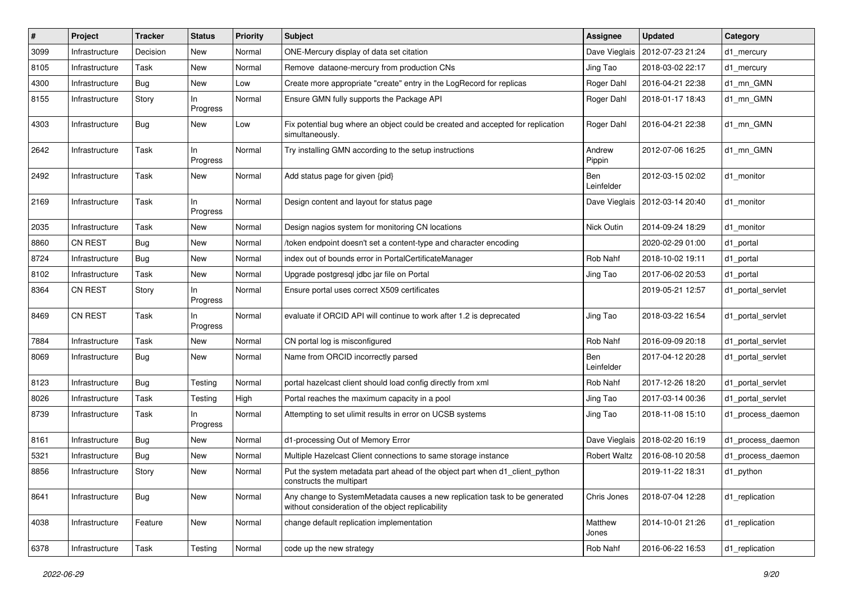| #    | Project        | <b>Tracker</b> | <b>Status</b>   | <b>Priority</b> | <b>Subject</b>                                                                                                                  | <b>Assignee</b>          | <b>Updated</b>                   | Category          |
|------|----------------|----------------|-----------------|-----------------|---------------------------------------------------------------------------------------------------------------------------------|--------------------------|----------------------------------|-------------------|
| 3099 | Infrastructure | Decision       | New             | Normal          | ONE-Mercury display of data set citation                                                                                        | Dave Vieglais            | 2012-07-23 21:24                 | d1_mercury        |
| 8105 | Infrastructure | Task           | New             | Normal          | Remove dataone-mercury from production CNs                                                                                      | Jing Tao                 | 2018-03-02 22:17                 | d1_mercury        |
| 4300 | Infrastructure | <b>Bug</b>     | New             | Low             | Create more appropriate "create" entry in the LogRecord for replicas                                                            | Roger Dahl               | 2016-04-21 22:38                 | d1_mn_GMN         |
| 8155 | Infrastructure | Story          | In<br>Progress  | Normal          | Ensure GMN fully supports the Package API                                                                                       | Roger Dahl               | 2018-01-17 18:43                 | d1 mn GMN         |
| 4303 | Infrastructure | Bug            | New             | Low             | Fix potential bug where an object could be created and accepted for replication<br>simultaneously.                              | Roger Dahl               | 2016-04-21 22:38                 | d1 mn GMN         |
| 2642 | Infrastructure | Task           | In<br>Progress  | Normal          | Try installing GMN according to the setup instructions                                                                          | Andrew<br>Pippin         | 2012-07-06 16:25                 | d1 mn GMN         |
| 2492 | Infrastructure | Task           | New             | Normal          | Add status page for given {pid}                                                                                                 | <b>Ben</b><br>Leinfelder | 2012-03-15 02:02                 | d1 monitor        |
| 2169 | Infrastructure | Task           | In<br>Progress  | Normal          | Design content and layout for status page                                                                                       |                          | Dave Vieglais   2012-03-14 20:40 | d1 monitor        |
| 2035 | Infrastructure | Task           | New             | Normal          | Design nagios system for monitoring CN locations                                                                                | Nick Outin               | 2014-09-24 18:29                 | d1 monitor        |
| 8860 | <b>CN REST</b> | <b>Bug</b>     | New             | Normal          | /token endpoint doesn't set a content-type and character encoding                                                               |                          | 2020-02-29 01:00                 | d1 portal         |
| 8724 | Infrastructure | <b>Bug</b>     | New             | Normal          | index out of bounds error in PortalCertificateManager                                                                           | Rob Nahf                 | 2018-10-02 19:11                 | d1_portal         |
| 8102 | Infrastructure | Task           | New             | Normal          | Upgrade postgresql jdbc jar file on Portal                                                                                      | Jing Tao                 | 2017-06-02 20:53                 | d1_portal         |
| 8364 | <b>CN REST</b> | Story          | ln.<br>Progress | Normal          | Ensure portal uses correct X509 certificates                                                                                    |                          | 2019-05-21 12:57                 | d1_portal_servlet |
| 8469 | <b>CN REST</b> | Task           | In<br>Progress  | Normal          | evaluate if ORCID API will continue to work after 1.2 is deprecated                                                             | Jing Tao                 | 2018-03-22 16:54                 | d1_portal_servlet |
| 7884 | Infrastructure | Task           | New             | Normal          | CN portal log is misconfigured                                                                                                  | Rob Nahf                 | 2016-09-09 20:18                 | d1_portal_servlet |
| 8069 | Infrastructure | Bug            | New             | Normal          | Name from ORCID incorrectly parsed                                                                                              | Ben<br>Leinfelder        | 2017-04-12 20:28                 | d1_portal_servlet |
| 8123 | Infrastructure | <b>Bug</b>     | Testing         | Normal          | portal hazelcast client should load config directly from xml                                                                    | Rob Nahf                 | 2017-12-26 18:20                 | d1_portal_servlet |
| 8026 | Infrastructure | Task           | Testing         | High            | Portal reaches the maximum capacity in a pool                                                                                   | Jing Tao                 | 2017-03-14 00:36                 | d1_portal_servlet |
| 8739 | Infrastructure | Task           | ln.<br>Progress | Normal          | Attempting to set ulimit results in error on UCSB systems                                                                       | Jing Tao                 | 2018-11-08 15:10                 | d1_process_daemon |
| 8161 | Infrastructure | Bug            | New             | Normal          | d1-processing Out of Memory Error                                                                                               |                          | Dave Vieglais   2018-02-20 16:19 | d1_process_daemon |
| 5321 | Infrastructure | Bug            | New             | Normal          | Multiple Hazelcast Client connections to same storage instance                                                                  | <b>Robert Waltz</b>      | 2016-08-10 20:58                 | d1_process_daemon |
| 8856 | Infrastructure | Story          | New             | Normal          | Put the system metadata part ahead of the object part when d1_client_python<br>constructs the multipart                         |                          | 2019-11-22 18:31                 | d1 python         |
| 8641 | Infrastructure | Bug            | New             | Normal          | Any change to SystemMetadata causes a new replication task to be generated<br>without consideration of the object replicability | Chris Jones              | 2018-07-04 12:28                 | d1 replication    |
| 4038 | Infrastructure | Feature        | New             | Normal          | change default replication implementation                                                                                       | Matthew<br>Jones         | 2014-10-01 21:26                 | d1_replication    |
| 6378 | Infrastructure | Task           | Testing         | Normal          | code up the new strategy                                                                                                        | Rob Nahf                 | 2016-06-22 16:53                 | d1_replication    |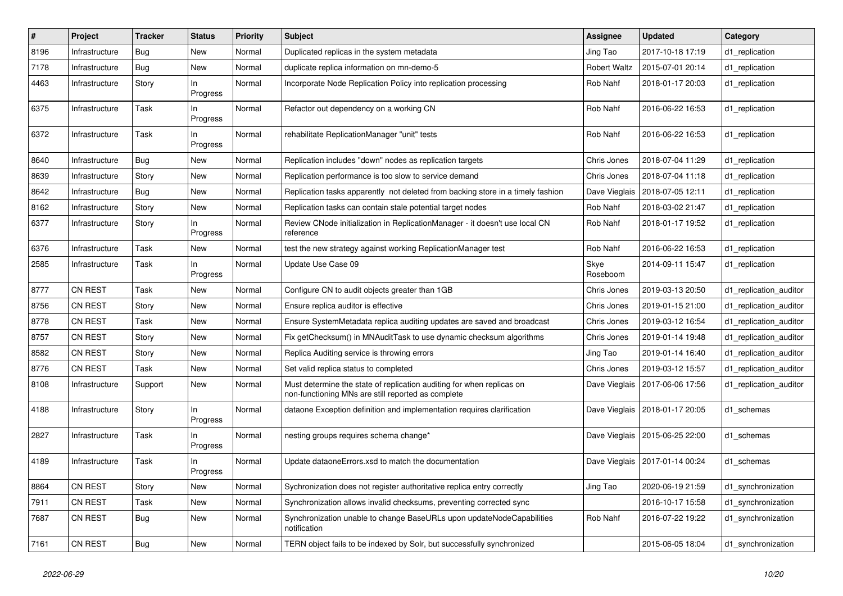| $\vert$ # | Project        | <b>Tracker</b> | Status          | <b>Priority</b> | <b>Subject</b>                                                                                                              | <b>Assignee</b>     | <b>Updated</b>                   | Category               |
|-----------|----------------|----------------|-----------------|-----------------|-----------------------------------------------------------------------------------------------------------------------------|---------------------|----------------------------------|------------------------|
| 8196      | Infrastructure | Bug            | New             | Normal          | Duplicated replicas in the system metadata                                                                                  | Jing Tao            | 2017-10-18 17:19                 | d1_replication         |
| 7178      | Infrastructure | <b>Bug</b>     | New             | Normal          | duplicate replica information on mn-demo-5                                                                                  | <b>Robert Waltz</b> | 2015-07-01 20:14                 | d1_replication         |
| 4463      | Infrastructure | Story          | ln.<br>Progress | Normal          | Incorporate Node Replication Policy into replication processing                                                             | Rob Nahf            | 2018-01-17 20:03                 | d1 replication         |
| 6375      | Infrastructure | Task           | ln.<br>Progress | Normal          | Refactor out dependency on a working CN                                                                                     | Rob Nahf            | 2016-06-22 16:53                 | d1_replication         |
| 6372      | Infrastructure | Task           | In<br>Progress  | Normal          | rehabilitate ReplicationManager "unit" tests                                                                                | Rob Nahf            | 2016-06-22 16:53                 | d1_replication         |
| 8640      | Infrastructure | <b>Bug</b>     | New             | Normal          | Replication includes "down" nodes as replication targets                                                                    | Chris Jones         | 2018-07-04 11:29                 | d1_replication         |
| 8639      | Infrastructure | Story          | New             | Normal          | Replication performance is too slow to service demand                                                                       | Chris Jones         | 2018-07-04 11:18                 | d1_replication         |
| 8642      | Infrastructure | <b>Bug</b>     | New             | Normal          | Replication tasks apparently not deleted from backing store in a timely fashion                                             | Dave Vieglais       | 2018-07-05 12:11                 | d1_replication         |
| 8162      | Infrastructure | Story          | New             | Normal          | Replication tasks can contain stale potential target nodes                                                                  | Rob Nahf            | 2018-03-02 21:47                 | d1_replication         |
| 6377      | Infrastructure | Story          | ln.<br>Progress | Normal          | Review CNode initialization in ReplicationManager - it doesn't use local CN<br>reference                                    | Rob Nahf            | 2018-01-17 19:52                 | d1 replication         |
| 6376      | Infrastructure | Task           | New             | Normal          | test the new strategy against working ReplicationManager test                                                               | Rob Nahf            | 2016-06-22 16:53                 | d1_replication         |
| 2585      | Infrastructure | Task           | In<br>Progress  | Normal          | Update Use Case 09                                                                                                          | Skye<br>Roseboom    | 2014-09-11 15:47                 | d1 replication         |
| 8777      | <b>CN REST</b> | Task           | New             | Normal          | Configure CN to audit objects greater than 1GB                                                                              | Chris Jones         | 2019-03-13 20:50                 | d1 replication auditor |
| 8756      | <b>CN REST</b> | Story          | New             | Normal          | Ensure replica auditor is effective                                                                                         | Chris Jones         | 2019-01-15 21:00                 | d1 replication auditor |
| 8778      | <b>CN REST</b> | Task           | New             | Normal          | Ensure SystemMetadata replica auditing updates are saved and broadcast                                                      | Chris Jones         | 2019-03-12 16:54                 | d1_replication_auditor |
| 8757      | CN REST        | Story          | New             | Normal          | Fix getChecksum() in MNAuditTask to use dynamic checksum algorithms                                                         | Chris Jones         | 2019-01-14 19:48                 | d1_replication_auditor |
| 8582      | <b>CN REST</b> | Story          | New             | Normal          | Replica Auditing service is throwing errors                                                                                 | Jing Tao            | 2019-01-14 16:40                 | d1 replication auditor |
| 8776      | CN REST        | Task           | New             | Normal          | Set valid replica status to completed                                                                                       | Chris Jones         | 2019-03-12 15:57                 | d1_replication_auditor |
| 8108      | Infrastructure | Support        | New             | Normal          | Must determine the state of replication auditing for when replicas on<br>non-functioning MNs are still reported as complete | Dave Vieglais       | 2017-06-06 17:56                 | d1 replication auditor |
| 4188      | Infrastructure | Story          | In<br>Progress  | Normal          | dataone Exception definition and implementation requires clarification                                                      |                     | Dave Vieglais   2018-01-17 20:05 | d1_schemas             |
| 2827      | Infrastructure | Task           | In<br>Progress  | Normal          | nesting groups requires schema change*                                                                                      |                     | Dave Vieglais   2015-06-25 22:00 | d1_schemas             |
| 4189      | Infrastructure | Task           | ln.<br>Progress | Normal          | Update dataoneErrors.xsd to match the documentation                                                                         |                     | Dave Vieglais   2017-01-14 00:24 | d1 schemas             |
| 8864      | CN REST        | Story          | <b>New</b>      | Normal          | Sychronization does not register authoritative replica entry correctly                                                      | Jing Tao            | 2020-06-19 21:59                 | d1 synchronization     |
| 7911      | <b>CN REST</b> | Task           | New             | Normal          | Synchronization allows invalid checksums, preventing corrected sync                                                         |                     | 2016-10-17 15:58                 | d1 synchronization     |
| 7687      | CN REST        | <b>Bug</b>     | New             | Normal          | Synchronization unable to change BaseURLs upon updateNodeCapabilities<br>notification                                       | Rob Nahf            | 2016-07-22 19:22                 | d1 synchronization     |
| 7161      | CN REST        | <b>Bug</b>     | New             | Normal          | TERN object fails to be indexed by Solr, but successfully synchronized                                                      |                     | 2015-06-05 18:04                 | d1 synchronization     |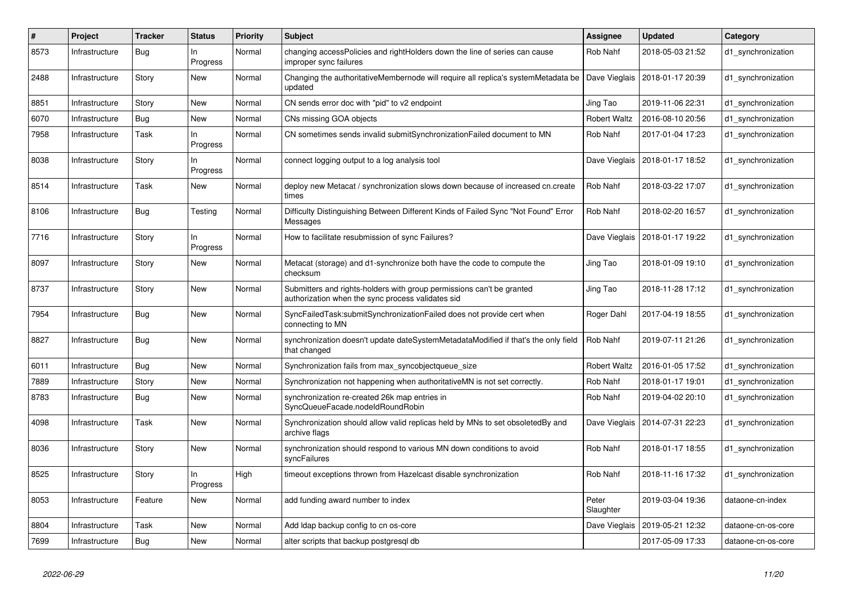| #    | Project        | <b>Tracker</b> | Status          | <b>Priority</b> | <b>Subject</b>                                                                                                             | Assignee            | <b>Updated</b>                   | Category           |
|------|----------------|----------------|-----------------|-----------------|----------------------------------------------------------------------------------------------------------------------------|---------------------|----------------------------------|--------------------|
| 8573 | Infrastructure | Bug            | ln.<br>Progress | Normal          | changing accessPolicies and rightHolders down the line of series can cause<br>improper sync failures                       | Rob Nahf            | 2018-05-03 21:52                 | d1 synchronization |
| 2488 | Infrastructure | Story          | New             | Normal          | Changing the authoritativeMembernode will require all replica's systemMetadata be<br>updated                               | Dave Vieglais       | 2018-01-17 20:39                 | d1_synchronization |
| 8851 | Infrastructure | Story          | <b>New</b>      | Normal          | CN sends error doc with "pid" to v2 endpoint                                                                               | Jing Tao            | 2019-11-06 22:31                 | d1 synchronization |
| 6070 | Infrastructure | <b>Bug</b>     | New             | Normal          | CNs missing GOA objects                                                                                                    | <b>Robert Waltz</b> | 2016-08-10 20:56                 | d1_synchronization |
| 7958 | Infrastructure | Task           | In.<br>Progress | Normal          | CN sometimes sends invalid submit Synchronization Failed document to MN                                                    | Rob Nahf            | 2017-01-04 17:23                 | d1 synchronization |
| 8038 | Infrastructure | Story          | In<br>Progress  | Normal          | connect logging output to a log analysis tool                                                                              |                     | Dave Vieglais   2018-01-17 18:52 | d1 synchronization |
| 8514 | Infrastructure | Task           | New             | Normal          | deploy new Metacat / synchronization slows down because of increased cn.create<br>times                                    | Rob Nahf            | 2018-03-22 17:07                 | d1 synchronization |
| 8106 | Infrastructure | Bug            | Testing         | Normal          | Difficulty Distinguishing Between Different Kinds of Failed Sync "Not Found" Error<br>Messages                             | Rob Nahf            | 2018-02-20 16:57                 | d1_synchronization |
| 7716 | Infrastructure | Story          | In<br>Progress  | Normal          | How to facilitate resubmission of sync Failures?                                                                           | Dave Vieglais       | 2018-01-17 19:22                 | d1 synchronization |
| 8097 | Infrastructure | Story          | New             | Normal          | Metacat (storage) and d1-synchronize both have the code to compute the<br>checksum                                         | Jing Tao            | 2018-01-09 19:10                 | d1 synchronization |
| 8737 | Infrastructure | Story          | New             | Normal          | Submitters and rights-holders with group permissions can't be granted<br>authorization when the sync process validates sid | Jing Tao            | 2018-11-28 17:12                 | d1 synchronization |
| 7954 | Infrastructure | <b>Bug</b>     | New             | Normal          | SyncFailedTask:submitSynchronizationFailed does not provide cert when<br>connecting to MN                                  | Roger Dahl          | 2017-04-19 18:55                 | d1_synchronization |
| 8827 | Infrastructure | <b>Bug</b>     | <b>New</b>      | Normal          | synchronization doesn't update dateSystemMetadataModified if that's the only field<br>that changed                         | Rob Nahf            | 2019-07-11 21:26                 | d1 synchronization |
| 6011 | Infrastructure | <b>Bug</b>     | New             | Normal          | Synchronization fails from max_syncobjectqueue_size                                                                        | <b>Robert Waltz</b> | 2016-01-05 17:52                 | d1_synchronization |
| 7889 | Infrastructure | Story          | New             | Normal          | Synchronization not happening when authoritative MN is not set correctly.                                                  | Rob Nahf            | 2018-01-17 19:01                 | d1 synchronization |
| 8783 | Infrastructure | Bug            | New             | Normal          | synchronization re-created 26k map entries in<br>SyncQueueFacade.nodeIdRoundRobin                                          | Rob Nahf            | 2019-04-02 20:10                 | d1 synchronization |
| 4098 | Infrastructure | Task           | New             | Normal          | Synchronization should allow valid replicas held by MNs to set obsoletedBy and<br>archive flags                            |                     | Dave Vieglais   2014-07-31 22:23 | d1_synchronization |
| 8036 | Infrastructure | Story          | New             | Normal          | synchronization should respond to various MN down conditions to avoid<br>syncFailures                                      | Rob Nahf            | 2018-01-17 18:55                 | d1_synchronization |
| 8525 | Infrastructure | Story          | ln.<br>Progress | High            | timeout exceptions thrown from Hazelcast disable synchronization                                                           | Rob Nahf            | 2018-11-16 17:32                 | d1 synchronization |
| 8053 | Infrastructure | Feature        | New             | Normal          | add funding award number to index                                                                                          | Peter<br>Slaughter  | 2019-03-04 19:36                 | dataone-cn-index   |
| 8804 | Infrastructure | Task           | New             | Normal          | Add Idap backup config to cn os-core                                                                                       | Dave Vieglais       | 2019-05-21 12:32                 | dataone-cn-os-core |
| 7699 | Infrastructure | <b>Bug</b>     | New             | Normal          | alter scripts that backup postgresgl db                                                                                    |                     | 2017-05-09 17:33                 | dataone-cn-os-core |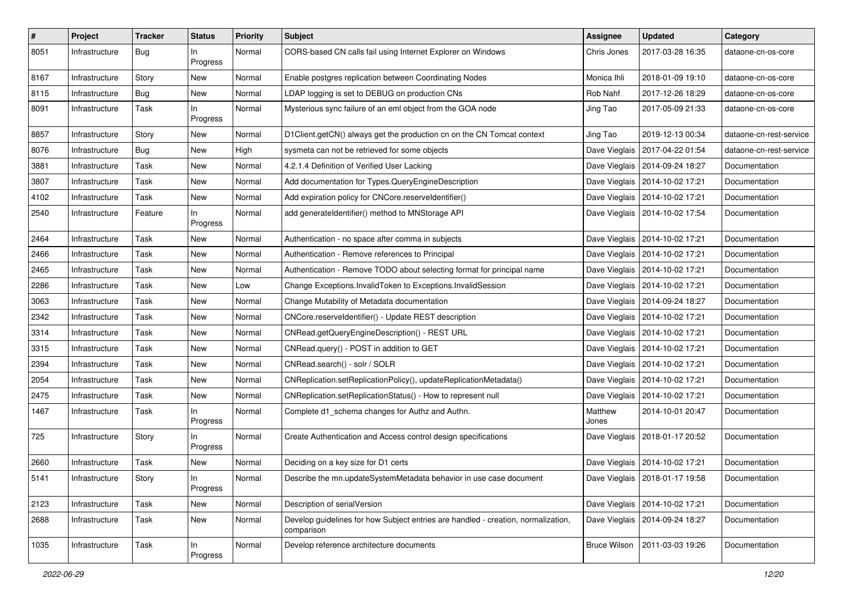| $\vert$ # | Project        | <b>Tracker</b> | <b>Status</b>   | <b>Priority</b> | <b>Subject</b>                                                                                  | <b>Assignee</b>     | <b>Updated</b>                   | Category                |
|-----------|----------------|----------------|-----------------|-----------------|-------------------------------------------------------------------------------------------------|---------------------|----------------------------------|-------------------------|
| 8051      | Infrastructure | <b>Bug</b>     | ln.<br>Progress | Normal          | CORS-based CN calls fail using Internet Explorer on Windows                                     | Chris Jones         | 2017-03-28 16:35                 | dataone-cn-os-core      |
| 8167      | Infrastructure | Story          | New             | Normal          | Enable postgres replication between Coordinating Nodes                                          | Monica Ihli         | 2018-01-09 19:10                 | dataone-cn-os-core      |
| 8115      | Infrastructure | <b>Bug</b>     | New             | Normal          | LDAP logging is set to DEBUG on production CNs                                                  | Rob Nahf            | 2017-12-26 18:29                 | dataone-cn-os-core      |
| 8091      | Infrastructure | Task           | ln<br>Progress  | Normal          | Mysterious sync failure of an eml object from the GOA node                                      | Jing Tao            | 2017-05-09 21:33                 | dataone-cn-os-core      |
| 8857      | Infrastructure | Story          | New             | Normal          | D1Client.getCN() always get the production cn on the CN Tomcat context                          | Jing Tao            | 2019-12-13 00:34                 | dataone-cn-rest-service |
| 8076      | Infrastructure | Bug            | New             | High            | sysmeta can not be retrieved for some objects                                                   |                     | Dave Vieglais   2017-04-22 01:54 | dataone-cn-rest-service |
| 3881      | Infrastructure | Task           | New             | Normal          | 4.2.1.4 Definition of Verified User Lacking                                                     |                     | Dave Vieglais   2014-09-24 18:27 | Documentation           |
| 3807      | Infrastructure | Task           | New             | Normal          | Add documentation for Types.QueryEngineDescription                                              |                     | Dave Vieglais   2014-10-02 17:21 | Documentation           |
| 4102      | Infrastructure | Task           | New             | Normal          | Add expiration policy for CNCore.reserveldentifier()                                            |                     | Dave Vieglais   2014-10-02 17:21 | Documentation           |
| 2540      | Infrastructure | Feature        | In<br>Progress  | Normal          | add generateIdentifier() method to MNStorage API                                                |                     | Dave Vieglais   2014-10-02 17:54 | Documentation           |
| 2464      | Infrastructure | Task           | New             | Normal          | Authentication - no space after comma in subjects                                               |                     | Dave Vieglais   2014-10-02 17:21 | Documentation           |
| 2466      | Infrastructure | Task           | New             | Normal          | Authentication - Remove references to Principal                                                 |                     | Dave Vieglais   2014-10-02 17:21 | Documentation           |
| 2465      | Infrastructure | Task           | New             | Normal          | Authentication - Remove TODO about selecting format for principal name                          |                     | Dave Vieglais   2014-10-02 17:21 | Documentation           |
| 2286      | Infrastructure | Task           | New             | Low             | Change Exceptions.InvalidToken to Exceptions.InvalidSession                                     |                     | Dave Vieglais   2014-10-02 17:21 | Documentation           |
| 3063      | Infrastructure | Task           | New             | Normal          | Change Mutability of Metadata documentation                                                     |                     | Dave Vieglais   2014-09-24 18:27 | Documentation           |
| 2342      | Infrastructure | Task           | New             | Normal          | CNCore.reserveldentifier() - Update REST description                                            |                     | Dave Vieglais   2014-10-02 17:21 | Documentation           |
| 3314      | Infrastructure | Task           | New             | Normal          | CNRead.getQueryEngineDescription() - REST URL                                                   |                     | Dave Vieglais   2014-10-02 17:21 | Documentation           |
| 3315      | Infrastructure | Task           | New             | Normal          | CNRead.query() - POST in addition to GET                                                        |                     | Dave Vieglais   2014-10-02 17:21 | Documentation           |
| 2394      | Infrastructure | Task           | New             | Normal          | CNRead.search() - solr / SOLR                                                                   |                     | Dave Vieglais   2014-10-02 17:21 | Documentation           |
| 2054      | Infrastructure | Task           | New             | Normal          | CNReplication.setReplicationPolicy(), updateReplicationMetadata()                               |                     | Dave Vieglais   2014-10-02 17:21 | Documentation           |
| 2475      | Infrastructure | Task           | New             | Normal          | CNReplication.setReplicationStatus() - How to represent null                                    |                     | Dave Vieglais   2014-10-02 17:21 | Documentation           |
| 1467      | Infrastructure | Task           | In<br>Progress  | Normal          | Complete d1_schema changes for Authz and Authn.                                                 | Matthew<br>Jones    | 2014-10-01 20:47                 | Documentation           |
| 725       | Infrastructure | Story          | In<br>Progress  | Normal          | Create Authentication and Access control design specifications                                  |                     | Dave Vieglais   2018-01-17 20:52 | Documentation           |
| 2660      | Infrastructure | Task           | New             | Normal          | Deciding on a key size for D1 certs                                                             |                     | Dave Vieglais   2014-10-02 17:21 | Documentation           |
| 5141      | Infrastructure | Story          | In<br>Progress  | Normal          | Describe the mn.updateSystemMetadata behavior in use case document                              |                     | Dave Vieglais   2018-01-17 19:58 | Documentation           |
| 2123      | Infrastructure | Task           | New             | Normal          | Description of serialVersion                                                                    |                     | Dave Vieglais   2014-10-02 17:21 | Documentation           |
| 2688      | Infrastructure | Task           | New             | Normal          | Develop guidelines for how Subject entries are handled - creation, normalization,<br>comparison |                     | Dave Vieglais   2014-09-24 18:27 | Documentation           |
| 1035      | Infrastructure | Task           | In<br>Progress  | Normal          | Develop reference architecture documents                                                        | <b>Bruce Wilson</b> | 2011-03-03 19:26                 | Documentation           |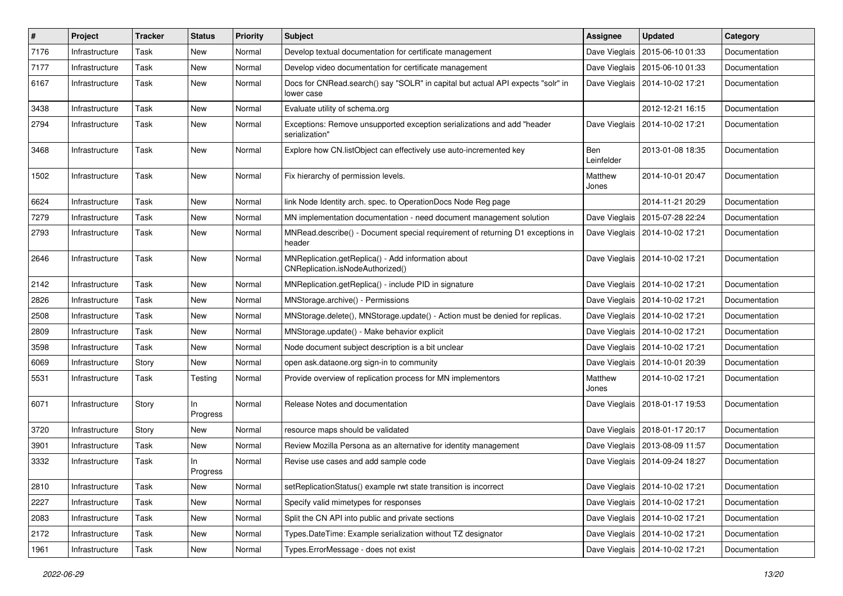| $\sharp$ | Project        | <b>Tracker</b> | <b>Status</b>  | <b>Priority</b> | Subject                                                                                       | Assignee          | <b>Updated</b>                   | Category      |
|----------|----------------|----------------|----------------|-----------------|-----------------------------------------------------------------------------------------------|-------------------|----------------------------------|---------------|
| 7176     | Infrastructure | Task           | New            | Normal          | Develop textual documentation for certificate management                                      | Dave Vieglais     | 2015-06-10 01:33                 | Documentation |
| 7177     | Infrastructure | Task           | <b>New</b>     | Normal          | Develop video documentation for certificate management                                        |                   | Dave Vieglais   2015-06-10 01:33 | Documentation |
| 6167     | Infrastructure | Task           | New            | Normal          | Docs for CNRead.search() say "SOLR" in capital but actual API expects "solr" in<br>lower case |                   | Dave Vieglais   2014-10-02 17:21 | Documentation |
| 3438     | Infrastructure | Task           | <b>New</b>     | Normal          | Evaluate utility of schema.org                                                                |                   | 2012-12-21 16:15                 | Documentation |
| 2794     | Infrastructure | Task           | New            | Normal          | Exceptions: Remove unsupported exception serializations and add "header<br>serialization"     | Dave Vieglais     | 2014-10-02 17:21                 | Documentation |
| 3468     | Infrastructure | Task           | New            | Normal          | Explore how CN.listObject can effectively use auto-incremented key                            | Ben<br>Leinfelder | 2013-01-08 18:35                 | Documentation |
| 1502     | Infrastructure | Task           | <b>New</b>     | Normal          | Fix hierarchy of permission levels.                                                           | Matthew<br>Jones  | 2014-10-01 20:47                 | Documentation |
| 6624     | Infrastructure | Task           | <b>New</b>     | Normal          | link Node Identity arch. spec. to OperationDocs Node Reg page                                 |                   | 2014-11-21 20:29                 | Documentation |
| 7279     | Infrastructure | Task           | <b>New</b>     | Normal          | MN implementation documentation - need document management solution                           | Dave Vieglais     | 2015-07-28 22:24                 | Documentation |
| 2793     | Infrastructure | Task           | New            | Normal          | MNRead.describe() - Document special requirement of returning D1 exceptions in<br>header      | Dave Vieglais     | 2014-10-02 17:21                 | Documentation |
| 2646     | Infrastructure | Task           | <b>New</b>     | Normal          | MNReplication.getReplica() - Add information about<br>CNReplication.isNodeAuthorized()        |                   | Dave Vieglais   2014-10-02 17:21 | Documentation |
| 2142     | Infrastructure | Task           | <b>New</b>     | Normal          | MNReplication.getReplica() - include PID in signature                                         |                   | Dave Vieglais   2014-10-02 17:21 | Documentation |
| 2826     | Infrastructure | Task           | New            | Normal          | MNStorage.archive() - Permissions                                                             |                   | Dave Vieglais   2014-10-02 17:21 | Documentation |
| 2508     | Infrastructure | Task           | New            | Normal          | MNStorage.delete(), MNStorage.update() - Action must be denied for replicas.                  |                   | Dave Vieglais   2014-10-02 17:21 | Documentation |
| 2809     | Infrastructure | Task           | <b>New</b>     | Normal          | MNStorage.update() - Make behavior explicit                                                   |                   | Dave Vieglais   2014-10-02 17:21 | Documentation |
| 3598     | Infrastructure | Task           | New            | Normal          | Node document subject description is a bit unclear                                            |                   | Dave Vieglais   2014-10-02 17:21 | Documentation |
| 6069     | Infrastructure | Story          | New            | Normal          | open ask.dataone.org sign-in to community                                                     |                   | Dave Vieglais   2014-10-01 20:39 | Documentation |
| 5531     | Infrastructure | Task           | Testing        | Normal          | Provide overview of replication process for MN implementors                                   | Matthew<br>Jones  | 2014-10-02 17:21                 | Documentation |
| 6071     | Infrastructure | Story          | ln<br>Progress | Normal          | Release Notes and documentation                                                               |                   | Dave Vieglais   2018-01-17 19:53 | Documentation |
| 3720     | Infrastructure | Story          | New            | Normal          | resource maps should be validated                                                             |                   | Dave Vieglais   2018-01-17 20:17 | Documentation |
| 3901     | Infrastructure | Task           | <b>New</b>     | Normal          | Review Mozilla Persona as an alternative for identity management                              |                   | Dave Vieglais   2013-08-09 11:57 | Documentation |
| 3332     | Infrastructure | Task           | In<br>Progress | Normal          | Revise use cases and add sample code                                                          | Dave Vieglais     | 2014-09-24 18:27                 | Documentation |
| 2810     | Infrastructure | Task           | New            | Normal          | setReplicationStatus() example rwt state transition is incorrect                              |                   | Dave Vieglais   2014-10-02 17:21 | Documentation |
| 2227     | Infrastructure | Task           | New            | Normal          | Specify valid mimetypes for responses                                                         |                   | Dave Vieglais   2014-10-02 17:21 | Documentation |
| 2083     | Infrastructure | Task           | New            | Normal          | Split the CN API into public and private sections                                             |                   | Dave Vieglais   2014-10-02 17:21 | Documentation |
| 2172     | Infrastructure | Task           | New            | Normal          | Types.DateTime: Example serialization without TZ designator                                   |                   | Dave Vieglais   2014-10-02 17:21 | Documentation |
| 1961     | Infrastructure | Task           | New            | Normal          | Types.ErrorMessage - does not exist                                                           |                   | Dave Vieglais   2014-10-02 17:21 | Documentation |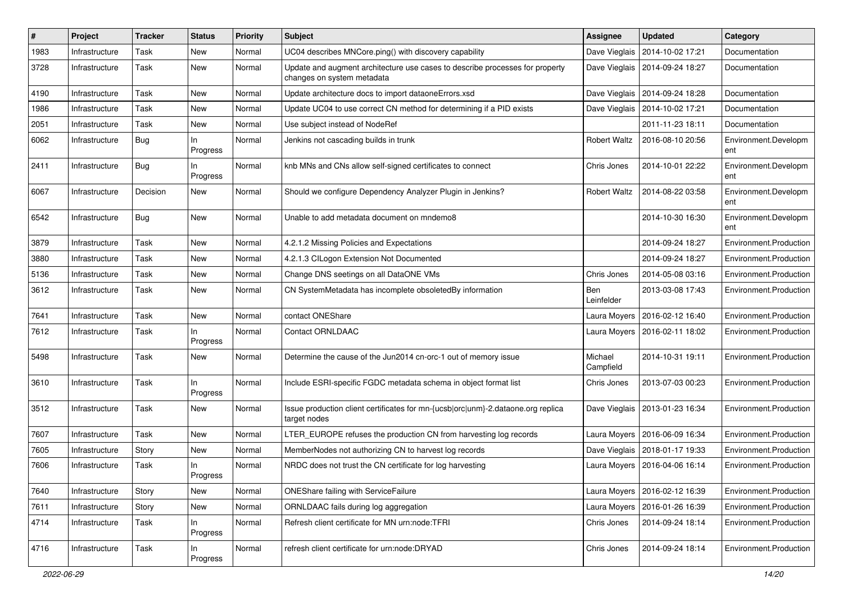| ∦    | Project        | <b>Tracker</b> | <b>Status</b>   | <b>Priority</b> | <b>Subject</b>                                                                                             | Assignee             | <b>Updated</b>                   | Category                    |
|------|----------------|----------------|-----------------|-----------------|------------------------------------------------------------------------------------------------------------|----------------------|----------------------------------|-----------------------------|
| 1983 | Infrastructure | Task           | New             | Normal          | UC04 describes MNCore.ping() with discovery capability                                                     | Dave Vieglais        | 2014-10-02 17:21                 | Documentation               |
| 3728 | Infrastructure | Task           | New             | Normal          | Update and augment architecture use cases to describe processes for property<br>changes on system metadata |                      | Dave Vieglais   2014-09-24 18:27 | Documentation               |
| 4190 | Infrastructure | Task           | New             | Normal          | Update architecture docs to import dataoneErrors.xsd                                                       |                      | Dave Vieglais   2014-09-24 18:28 | Documentation               |
| 1986 | Infrastructure | Task           | New             | Normal          | Update UC04 to use correct CN method for determining if a PID exists                                       |                      | Dave Vieglais   2014-10-02 17:21 | Documentation               |
| 2051 | Infrastructure | Task           | New             | Normal          | Use subject instead of NodeRef                                                                             |                      | 2011-11-23 18:11                 | Documentation               |
| 6062 | Infrastructure | <b>Bug</b>     | In<br>Progress  | Normal          | Jenkins not cascading builds in trunk                                                                      | <b>Robert Waltz</b>  | 2016-08-10 20:56                 | Environment.Developm<br>ent |
| 2411 | Infrastructure | Bug            | ln.<br>Progress | Normal          | knb MNs and CNs allow self-signed certificates to connect                                                  | Chris Jones          | 2014-10-01 22:22                 | Environment.Developm<br>ent |
| 6067 | Infrastructure | Decision       | New             | Normal          | Should we configure Dependency Analyzer Plugin in Jenkins?                                                 | <b>Robert Waltz</b>  | 2014-08-22 03:58                 | Environment.Developm<br>ent |
| 6542 | Infrastructure | Bug            | New             | Normal          | Unable to add metadata document on mndemo8                                                                 |                      | 2014-10-30 16:30                 | Environment.Developm<br>ent |
| 3879 | Infrastructure | Task           | New             | Normal          | 4.2.1.2 Missing Policies and Expectations                                                                  |                      | 2014-09-24 18:27                 | Environment.Production      |
| 3880 | Infrastructure | Task           | New             | Normal          | 4.2.1.3 CILogon Extension Not Documented                                                                   |                      | 2014-09-24 18:27                 | Environment.Production      |
| 5136 | Infrastructure | Task           | New             | Normal          | Change DNS seetings on all DataONE VMs                                                                     | Chris Jones          | 2014-05-08 03:16                 | Environment.Production      |
| 3612 | Infrastructure | Task           | New             | Normal          | CN SystemMetadata has incomplete obsoletedBy information                                                   | Ben<br>Leinfelder    | 2013-03-08 17:43                 | Environment.Production      |
| 7641 | Infrastructure | Task           | New             | Normal          | contact ONEShare                                                                                           |                      | Laura Moyers   2016-02-12 16:40  | Environment.Production      |
| 7612 | Infrastructure | Task           | In<br>Progress  | Normal          | <b>Contact ORNLDAAC</b>                                                                                    |                      | Laura Moyers   2016-02-11 18:02  | Environment.Production      |
| 5498 | Infrastructure | Task           | New             | Normal          | Determine the cause of the Jun2014 cn-orc-1 out of memory issue                                            | Michael<br>Campfield | 2014-10-31 19:11                 | Environment.Production      |
| 3610 | Infrastructure | Task           | ln.<br>Progress | Normal          | Include ESRI-specific FGDC metadata schema in object format list                                           | Chris Jones          | 2013-07-03 00:23                 | Environment.Production      |
| 3512 | Infrastructure | Task           | New             | Normal          | Issue production client certificates for mn-{ucsb orc unm}-2.dataone.org replica<br>target nodes           |                      | Dave Vieglais   2013-01-23 16:34 | Environment.Production      |
| 7607 | Infrastructure | Task           | New             | Normal          | LTER_EUROPE refuses the production CN from harvesting log records                                          |                      | Laura Moyers   2016-06-09 16:34  | Environment.Production      |
| 7605 | Infrastructure | Story          | New             | Normal          | MemberNodes not authorizing CN to harvest log records                                                      |                      | Dave Vieglais   2018-01-17 19:33 | Environment.Production      |
| 7606 | Infrastructure | Task           | ln.<br>Progress | Normal          | NRDC does not trust the CN certificate for log harvesting                                                  |                      | Laura Moyers   2016-04-06 16:14  | Environment.Production      |
| 7640 | Infrastructure | Story          | New             | Normal          | ONEShare failing with ServiceFailure                                                                       |                      | Laura Moyers   2016-02-12 16:39  | Environment.Production      |
| 7611 | Infrastructure | Story          | New             | Normal          | ORNLDAAC fails during log aggregation                                                                      |                      | Laura Moyers   2016-01-26 16:39  | Environment.Production      |
| 4714 | Infrastructure | Task           | In<br>Progress  | Normal          | Refresh client certificate for MN urn:node:TFRI                                                            | Chris Jones          | 2014-09-24 18:14                 | Environment.Production      |
| 4716 | Infrastructure | Task           | In<br>Progress  | Normal          | refresh client certificate for urn:node:DRYAD                                                              | Chris Jones          | 2014-09-24 18:14                 | Environment.Production      |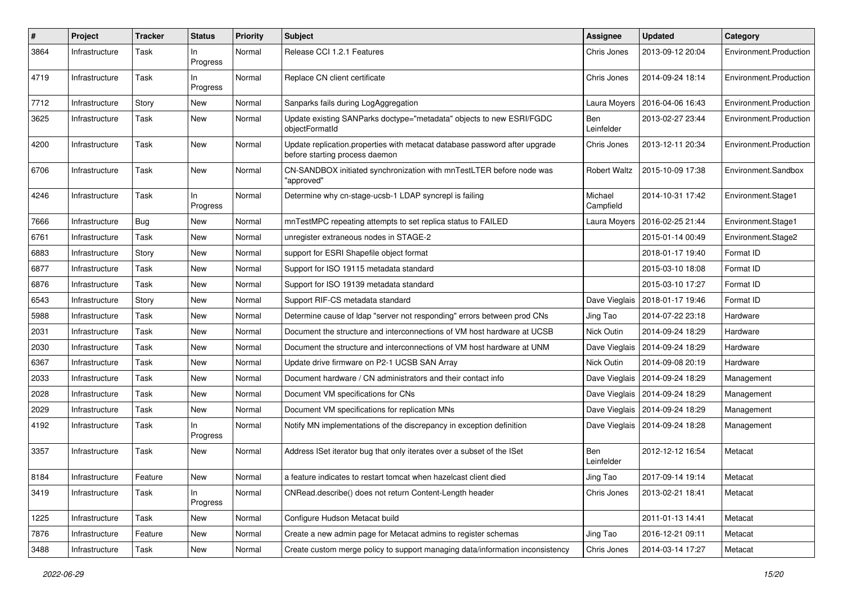| #    | Project        | <b>Tracker</b> | <b>Status</b>     | Priority | <b>Subject</b>                                                                                               | <b>Assignee</b>      | <b>Updated</b>                   | Category               |
|------|----------------|----------------|-------------------|----------|--------------------------------------------------------------------------------------------------------------|----------------------|----------------------------------|------------------------|
| 3864 | Infrastructure | Task           | In.<br>Progress   | Normal   | Release CCI 1.2.1 Features                                                                                   | Chris Jones          | 2013-09-12 20:04                 | Environment.Production |
| 4719 | Infrastructure | Task           | In<br>Progress    | Normal   | Replace CN client certificate                                                                                | Chris Jones          | 2014-09-24 18:14                 | Environment.Production |
| 7712 | Infrastructure | Story          | New               | Normal   | Sanparks fails during LogAggregation                                                                         | Laura Moyers         | 2016-04-06 16:43                 | Environment.Production |
| 3625 | Infrastructure | Task           | New               | Normal   | Update existing SANParks doctype="metadata" objects to new ESRI/FGDC<br>objectFormatId                       | Ben<br>Leinfelder    | 2013-02-27 23:44                 | Environment.Production |
| 4200 | Infrastructure | Task           | New               | Normal   | Update replication.properties with metacat database password after upgrade<br>before starting process daemon | Chris Jones          | 2013-12-11 20:34                 | Environment.Production |
| 6706 | Infrastructure | Task           | <b>New</b>        | Normal   | CN-SANDBOX initiated synchronization with mnTestLTER before node was<br>"approved"                           | <b>Robert Waltz</b>  | 2015-10-09 17:38                 | Environment.Sandbox    |
| 4246 | Infrastructure | Task           | $\ln$<br>Progress | Normal   | Determine why cn-stage-ucsb-1 LDAP syncrepl is failing                                                       | Michael<br>Campfield | 2014-10-31 17:42                 | Environment.Stage1     |
| 7666 | Infrastructure | Bug            | New               | Normal   | mnTestMPC repeating attempts to set replica status to FAILED                                                 | Laura Moyers         | 2016-02-25 21:44                 | Environment.Stage1     |
| 6761 | Infrastructure | Task           | New               | Normal   | unregister extraneous nodes in STAGE-2                                                                       |                      | 2015-01-14 00:49                 | Environment.Stage2     |
| 6883 | Infrastructure | Story          | <b>New</b>        | Normal   | support for ESRI Shapefile object format                                                                     |                      | 2018-01-17 19:40                 | Format ID              |
| 6877 | Infrastructure | Task           | New               | Normal   | Support for ISO 19115 metadata standard                                                                      |                      | 2015-03-10 18:08                 | Format ID              |
| 6876 | Infrastructure | Task           | <b>New</b>        | Normal   | Support for ISO 19139 metadata standard                                                                      |                      | 2015-03-10 17:27                 | Format ID              |
| 6543 | Infrastructure | Story          | New               | Normal   | Support RIF-CS metadata standard                                                                             | Dave Vieglais        | 2018-01-17 19:46                 | Format ID              |
| 5988 | Infrastructure | Task           | New               | Normal   | Determine cause of Idap "server not responding" errors between prod CNs                                      | Jing Tao             | 2014-07-22 23:18                 | Hardware               |
| 2031 | Infrastructure | Task           | New               | Normal   | Document the structure and interconnections of VM host hardware at UCSB                                      | Nick Outin           | 2014-09-24 18:29                 | Hardware               |
| 2030 | Infrastructure | Task           | New               | Normal   | Document the structure and interconnections of VM host hardware at UNM                                       | Dave Vieglais        | 2014-09-24 18:29                 | Hardware               |
| 6367 | Infrastructure | <b>Task</b>    | New               | Normal   | Update drive firmware on P2-1 UCSB SAN Array                                                                 | Nick Outin           | 2014-09-08 20:19                 | Hardware               |
| 2033 | Infrastructure | Task           | New               | Normal   | Document hardware / CN administrators and their contact info                                                 | Dave Vieglais        | 2014-09-24 18:29                 | Management             |
| 2028 | Infrastructure | <b>Task</b>    | <b>New</b>        | Normal   | Document VM specifications for CNs                                                                           |                      | Dave Vieglais   2014-09-24 18:29 | Management             |
| 2029 | Infrastructure | Task           | New               | Normal   | Document VM specifications for replication MNs                                                               |                      | Dave Vieglais   2014-09-24 18:29 | Management             |
| 4192 | Infrastructure | Task           | ln.<br>Progress   | Normal   | Notify MN implementations of the discrepancy in exception definition                                         |                      | Dave Vieglais   2014-09-24 18:28 | Management             |
| 3357 | Infrastructure | Task           | New               | Normal   | Address ISet iterator bug that only iterates over a subset of the ISet                                       | Ben<br>Leinfelder    | 2012-12-12 16:54                 | Metacat                |
| 8184 | Infrastructure | Feature        | New               | Normal   | a feature indicates to restart tomcat when hazelcast client died                                             | Jing Tao             | 2017-09-14 19:14                 | Metacat                |
| 3419 | Infrastructure | Task           | In<br>Progress    | Normal   | CNRead.describe() does not return Content-Length header                                                      | Chris Jones          | 2013-02-21 18:41                 | Metacat                |
| 1225 | Infrastructure | Task           | New               | Normal   | Configure Hudson Metacat build                                                                               |                      | 2011-01-13 14:41                 | Metacat                |
| 7876 | Infrastructure | Feature        | New               | Normal   | Create a new admin page for Metacat admins to register schemas                                               | Jing Tao             | 2016-12-21 09:11                 | Metacat                |
| 3488 | Infrastructure | Task           | New               | Normal   | Create custom merge policy to support managing data/information inconsistency                                | Chris Jones          | 2014-03-14 17:27                 | Metacat                |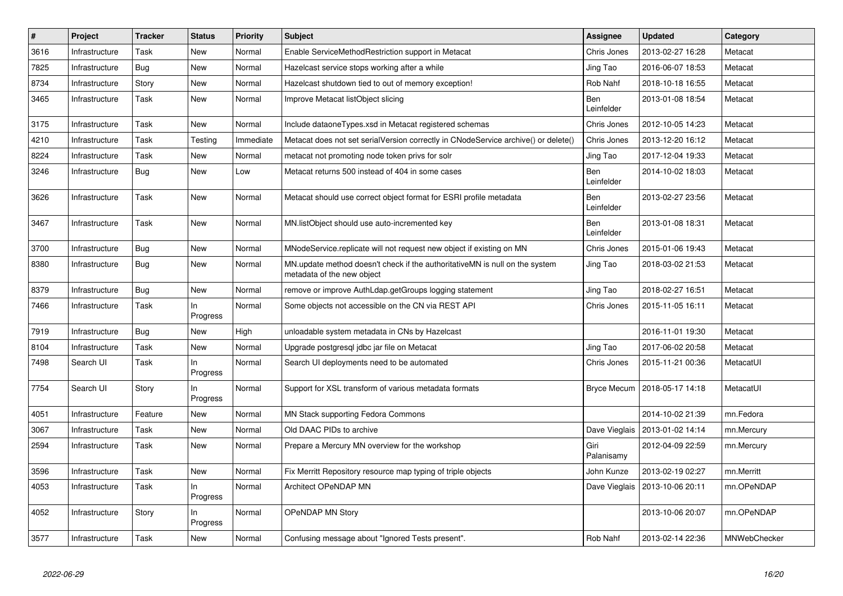| $\vert$ # | Project        | <b>Tracker</b> | <b>Status</b>   | <b>Priority</b> | <b>Subject</b>                                                                                            | <b>Assignee</b>    | <b>Updated</b>                   | Category     |
|-----------|----------------|----------------|-----------------|-----------------|-----------------------------------------------------------------------------------------------------------|--------------------|----------------------------------|--------------|
| 3616      | Infrastructure | Task           | <b>New</b>      | Normal          | Enable ServiceMethodRestriction support in Metacat                                                        | Chris Jones        | 2013-02-27 16:28                 | Metacat      |
| 7825      | Infrastructure | <b>Bug</b>     | New             | Normal          | Hazelcast service stops working after a while                                                             | Jing Tao           | 2016-06-07 18:53                 | Metacat      |
| 8734      | Infrastructure | Story          | New             | Normal          | Hazelcast shutdown tied to out of memory exception!                                                       | Rob Nahf           | 2018-10-18 16:55                 | Metacat      |
| 3465      | Infrastructure | Task           | <b>New</b>      | Normal          | Improve Metacat listObject slicing                                                                        | Ben<br>Leinfelder  | 2013-01-08 18:54                 | Metacat      |
| 3175      | Infrastructure | Task           | New             | Normal          | Include dataoneTypes.xsd in Metacat registered schemas                                                    | Chris Jones        | 2012-10-05 14:23                 | Metacat      |
| 4210      | Infrastructure | Task           | Testing         | Immediate       | Metacat does not set serialVersion correctly in CNodeService archive() or delete()                        | Chris Jones        | 2013-12-20 16:12                 | Metacat      |
| 8224      | Infrastructure | Task           | New             | Normal          | metacat not promoting node token privs for solr                                                           | Jing Tao           | 2017-12-04 19:33                 | Metacat      |
| 3246      | Infrastructure | Bug            | <b>New</b>      | Low             | Metacat returns 500 instead of 404 in some cases                                                          | Ben<br>Leinfelder  | 2014-10-02 18:03                 | Metacat      |
| 3626      | Infrastructure | Task           | <b>New</b>      | Normal          | Metacat should use correct object format for ESRI profile metadata                                        | Ben<br>Leinfelder  | 2013-02-27 23:56                 | Metacat      |
| 3467      | Infrastructure | Task           | New             | Normal          | MN.listObject should use auto-incremented key                                                             | Ben<br>Leinfelder  | 2013-01-08 18:31                 | Metacat      |
| 3700      | Infrastructure | Bug            | New             | Normal          | MNodeService.replicate will not request new object if existing on MN                                      | Chris Jones        | 2015-01-06 19:43                 | Metacat      |
| 8380      | Infrastructure | <b>Bug</b>     | New             | Normal          | MN.update method doesn't check if the authoritativeMN is null on the system<br>metadata of the new object | Jing Tao           | 2018-03-02 21:53                 | Metacat      |
| 8379      | Infrastructure | <b>Bug</b>     | New             | Normal          | remove or improve AuthLdap.getGroups logging statement                                                    | Jing Tao           | 2018-02-27 16:51                 | Metacat      |
| 7466      | Infrastructure | Task           | ln.<br>Progress | Normal          | Some objects not accessible on the CN via REST API                                                        | Chris Jones        | 2015-11-05 16:11                 | Metacat      |
| 7919      | Infrastructure | <b>Bug</b>     | New             | High            | unloadable system metadata in CNs by Hazelcast                                                            |                    | 2016-11-01 19:30                 | Metacat      |
| 8104      | Infrastructure | Task           | New             | Normal          | Upgrade postgresql jdbc jar file on Metacat                                                               | Jing Tao           | 2017-06-02 20:58                 | Metacat      |
| 7498      | Search UI      | Task           | In<br>Progress  | Normal          | Search UI deployments need to be automated                                                                | Chris Jones        | 2015-11-21 00:36                 | MetacatUI    |
| 7754      | Search UI      | Story          | In<br>Progress  | Normal          | Support for XSL transform of various metadata formats                                                     |                    | Bryce Mecum   2018-05-17 14:18   | MetacatUI    |
| 4051      | Infrastructure | Feature        | New             | Normal          | MN Stack supporting Fedora Commons                                                                        |                    | 2014-10-02 21:39                 | mn.Fedora    |
| 3067      | Infrastructure | Task           | New             | Normal          | Old DAAC PIDs to archive                                                                                  |                    | Dave Vieglais   2013-01-02 14:14 | mn.Mercury   |
| 2594      | Infrastructure | Task           | New             | Normal          | Prepare a Mercury MN overview for the workshop                                                            | Giri<br>Palanisamy | 2012-04-09 22:59                 | mn.Mercury   |
| 3596      | Infrastructure | Task           | <b>New</b>      | Normal          | Fix Merritt Repository resource map typing of triple objects                                              | John Kunze         | 2013-02-19 02:27                 | mn.Merritt   |
| 4053      | Infrastructure | Task           | In<br>Progress  | Normal          | Architect OPeNDAP MN                                                                                      | Dave Vieglais      | 2013-10-06 20:11                 | mn.OPeNDAP   |
| 4052      | Infrastructure | Story          | In.<br>Progress | Normal          | <b>OPeNDAP MN Story</b>                                                                                   |                    | 2013-10-06 20:07                 | mn.OPeNDAP   |
| 3577      | Infrastructure | Task           | New             | Normal          | Confusing message about "Ignored Tests present".                                                          | Rob Nahf           | 2013-02-14 22:36                 | MNWebChecker |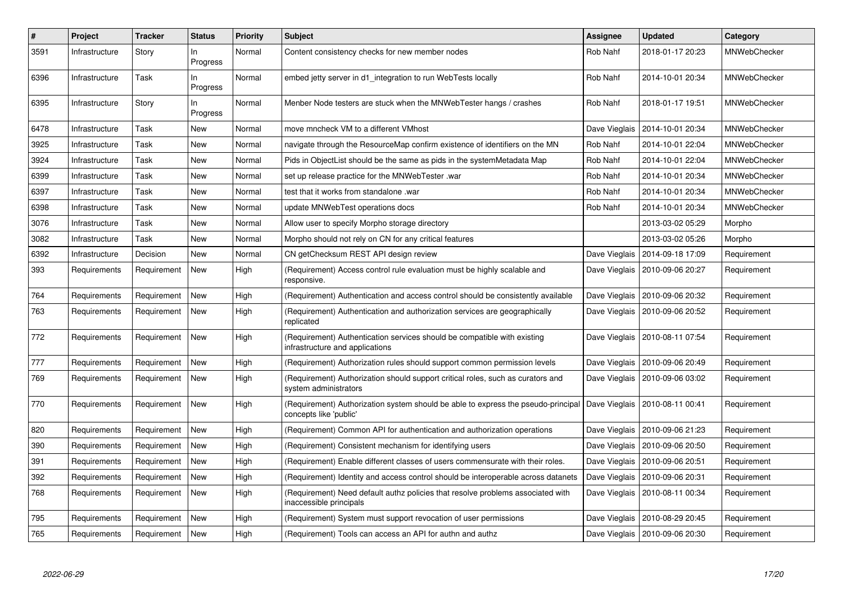| $\#$ | <b>Project</b> | <b>Tracker</b> | <b>Status</b>   | <b>Priority</b> | <b>Subject</b>                                                                                              | Assignee      | <b>Updated</b>                   | Category            |
|------|----------------|----------------|-----------------|-----------------|-------------------------------------------------------------------------------------------------------------|---------------|----------------------------------|---------------------|
| 3591 | Infrastructure | Story          | In.<br>Progress | Normal          | Content consistency checks for new member nodes                                                             | Rob Nahf      | 2018-01-17 20:23                 | MNWebChecker        |
| 6396 | Infrastructure | Task           | In<br>Progress  | Normal          | embed jetty server in d1 integration to run WebTests locally                                                | Rob Nahf      | 2014-10-01 20:34                 | MNWebChecker        |
| 6395 | Infrastructure | Story          | In<br>Progress  | Normal          | Menber Node testers are stuck when the MNWebTester hangs / crashes                                          | Rob Nahf      | 2018-01-17 19:51                 | <b>MNWebChecker</b> |
| 6478 | Infrastructure | Task           | <b>New</b>      | Normal          | move mncheck VM to a different VMhost                                                                       | Dave Vieglais | 2014-10-01 20:34                 | <b>MNWebChecker</b> |
| 3925 | Infrastructure | Task           | New             | Normal          | navigate through the ResourceMap confirm existence of identifiers on the MN                                 | Rob Nahf      | 2014-10-01 22:04                 | <b>MNWebChecker</b> |
| 3924 | Infrastructure | Task           | New             | Normal          | Pids in ObjectList should be the same as pids in the systemMetadata Map                                     | Rob Nahf      | 2014-10-01 22:04                 | MNWebChecker        |
| 6399 | Infrastructure | Task           | <b>New</b>      | Normal          | set up release practice for the MNWebTester .war                                                            | Rob Nahf      | 2014-10-01 20:34                 | <b>MNWebChecker</b> |
| 6397 | Infrastructure | Task           | New             | Normal          | test that it works from standalone .war                                                                     | Rob Nahf      | 2014-10-01 20:34                 | <b>MNWebChecker</b> |
| 6398 | Infrastructure | Task           | <b>New</b>      | Normal          | update MNWebTest operations docs                                                                            | Rob Nahf      | 2014-10-01 20:34                 | MNWebChecker        |
| 3076 | Infrastructure | Task           | <b>New</b>      | Normal          | Allow user to specify Morpho storage directory                                                              |               | 2013-03-02 05:29                 | Morpho              |
| 3082 | Infrastructure | Task           | New             | Normal          | Morpho should not rely on CN for any critical features                                                      |               | 2013-03-02 05:26                 | Morpho              |
| 6392 | Infrastructure | Decision       | <b>New</b>      | Normal          | CN getChecksum REST API design review                                                                       |               | Dave Vieglais   2014-09-18 17:09 | Requirement         |
| 393  | Requirements   | Requirement    | <b>New</b>      | High            | (Requirement) Access control rule evaluation must be highly scalable and<br>responsive.                     | Dave Vieglais | 2010-09-06 20:27                 | Requirement         |
| 764  | Requirements   | Requirement    | <b>New</b>      | High            | (Requirement) Authentication and access control should be consistently available                            |               | Dave Vieglais   2010-09-06 20:32 | Requirement         |
| 763  | Requirements   | Requirement    | <b>New</b>      | High            | (Requirement) Authentication and authorization services are geographically<br>replicated                    | Dave Vieglais | 2010-09-06 20:52                 | Requirement         |
| 772  | Requirements   | Requirement    | <b>New</b>      | High            | (Requirement) Authentication services should be compatible with existing<br>infrastructure and applications |               | Dave Vieglais   2010-08-11 07:54 | Requirement         |
| 777  | Requirements   | Requirement    | <b>New</b>      | High            | (Requirement) Authorization rules should support common permission levels                                   |               | Dave Vieglais   2010-09-06 20:49 | Requirement         |
| 769  | Requirements   | Requirement    | New             | High            | (Requirement) Authorization should support critical roles, such as curators and<br>system administrators    |               | Dave Vieglais   2010-09-06 03:02 | Requirement         |
| 770  | Requirements   | Requirement    | New             | High            | (Requirement) Authorization system should be able to express the pseudo-principal<br>concepts like 'public' |               | Dave Vieglais   2010-08-11 00:41 | Requirement         |
| 820  | Requirements   | Requirement    | New             | High            | (Requirement) Common API for authentication and authorization operations                                    | Dave Vieglais | 2010-09-06 21:23                 | Requirement         |
| 390  | Requirements   | Requirement    | New             | High            | (Requirement) Consistent mechanism for identifying users                                                    |               | Dave Vieglais   2010-09-06 20:50 | Requirement         |
| 391  | Requirements   | Requirement    | <b>New</b>      | High            | (Requirement) Enable different classes of users commensurate with their roles.                              |               | Dave Vieglais   2010-09-06 20:51 | Requirement         |
| 392  | Requirements   | Requirement    | New             | High            | (Requirement) Identity and access control should be interoperable across datanets                           | Dave Vieglais | 2010-09-06 20:31                 | Requirement         |
| 768  | Requirements   | Requirement    | <b>New</b>      | High            | (Requirement) Need default authz policies that resolve problems associated with<br>inaccessible principals  | Dave Vieglais | 2010-08-11 00:34                 | Requirement         |
| 795  | Requirements   | Requirement    | New             | High            | (Requirement) System must support revocation of user permissions                                            | Dave Vieglais | 2010-08-29 20:45                 | Requirement         |
| 765  | Requirements   | Requirement    | <b>New</b>      | High            | (Requirement) Tools can access an API for authn and authz                                                   |               | Dave Vieglais   2010-09-06 20:30 | Requirement         |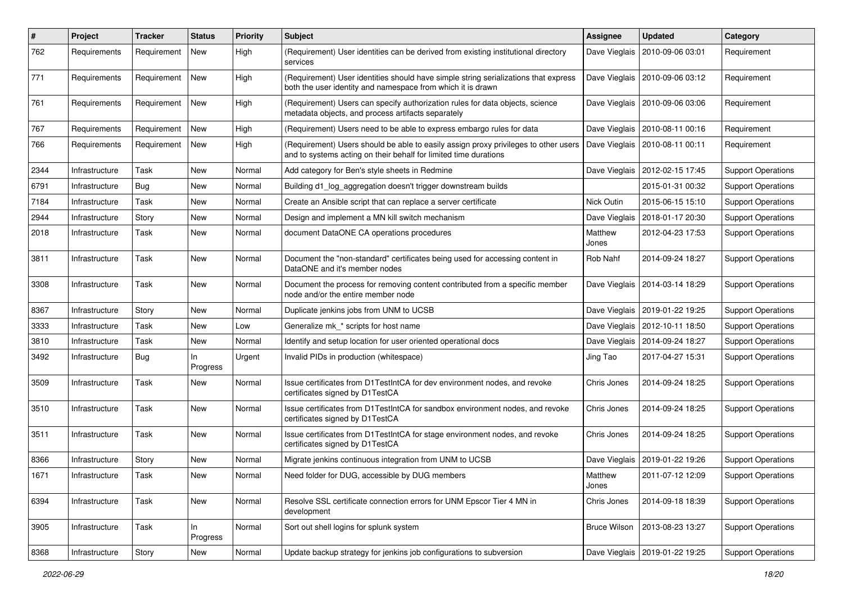| #    | Project        | <b>Tracker</b> | <b>Status</b>  | <b>Priority</b> | <b>Subject</b>                                                                                                                                          | <b>Assignee</b>     | <b>Updated</b>                   | Category                  |
|------|----------------|----------------|----------------|-----------------|---------------------------------------------------------------------------------------------------------------------------------------------------------|---------------------|----------------------------------|---------------------------|
| 762  | Requirements   | Requirement    | New            | High            | (Requirement) User identities can be derived from existing institutional directory<br>services                                                          | Dave Vieglais       | 2010-09-06 03:01                 | Requirement               |
| 771  | Requirements   | Requirement    | New            | High            | (Requirement) User identities should have simple string serializations that express<br>both the user identity and namespace from which it is drawn      | Dave Vieglais       | 2010-09-06 03:12                 | Requirement               |
| 761  | Requirements   | Requirement    | New            | High            | (Requirement) Users can specify authorization rules for data objects, science<br>metadata objects, and process artifacts separately                     | Dave Vieglais       | 2010-09-06 03:06                 | Requirement               |
| 767  | Requirements   | Requirement    | New            | High            | (Requirement) Users need to be able to express embargo rules for data                                                                                   | Dave Vieglais       | 2010-08-11 00:16                 | Requirement               |
| 766  | Requirements   | Requirement    | New            | High            | (Requirement) Users should be able to easily assign proxy privileges to other users<br>and to systems acting on their behalf for limited time durations | Dave Vieglais       | 2010-08-11 00:11                 | Requirement               |
| 2344 | Infrastructure | Task           | New            | Normal          | Add category for Ben's style sheets in Redmine                                                                                                          | Dave Vieglais       | 2012-02-15 17:45                 | <b>Support Operations</b> |
| 6791 | Infrastructure | Bug            | New            | Normal          | Building d1_log_aggregation doesn't trigger downstream builds                                                                                           |                     | 2015-01-31 00:32                 | <b>Support Operations</b> |
| 7184 | Infrastructure | Task           | New            | Normal          | Create an Ansible script that can replace a server certificate                                                                                          | Nick Outin          | 2015-06-15 15:10                 | <b>Support Operations</b> |
| 2944 | Infrastructure | Story          | New            | Normal          | Design and implement a MN kill switch mechanism                                                                                                         | Dave Vieglais       | 2018-01-17 20:30                 | <b>Support Operations</b> |
| 2018 | Infrastructure | Task           | New            | Normal          | document DataONE CA operations procedures                                                                                                               | Matthew<br>Jones    | 2012-04-23 17:53                 | <b>Support Operations</b> |
| 3811 | Infrastructure | Task           | New            | Normal          | Document the "non-standard" certificates being used for accessing content in<br>DataONE and it's member nodes                                           | Rob Nahf            | 2014-09-24 18:27                 | <b>Support Operations</b> |
| 3308 | Infrastructure | Task           | New            | Normal          | Document the process for removing content contributed from a specific member<br>node and/or the entire member node                                      |                     | Dave Vieglais   2014-03-14 18:29 | <b>Support Operations</b> |
| 8367 | Infrastructure | Story          | New            | Normal          | Duplicate jenkins jobs from UNM to UCSB                                                                                                                 |                     | Dave Vieglais   2019-01-22 19:25 | <b>Support Operations</b> |
| 3333 | Infrastructure | Task           | New            | Low             | Generalize mk_* scripts for host name                                                                                                                   |                     | Dave Vieglais   2012-10-11 18:50 | <b>Support Operations</b> |
| 3810 | Infrastructure | Task           | New            | Normal          | Identify and setup location for user oriented operational docs                                                                                          |                     | Dave Vieglais   2014-09-24 18:27 | <b>Support Operations</b> |
| 3492 | Infrastructure | Bug            | In<br>Progress | Urgent          | Invalid PIDs in production (whitespace)                                                                                                                 | Jing Tao            | 2017-04-27 15:31                 | <b>Support Operations</b> |
| 3509 | Infrastructure | Task           | New            | Normal          | Issue certificates from D1TestIntCA for dev environment nodes, and revoke<br>certificates signed by D1TestCA                                            | Chris Jones         | 2014-09-24 18:25                 | <b>Support Operations</b> |
| 3510 | Infrastructure | Task           | New            | Normal          | Issue certificates from D1TestIntCA for sandbox environment nodes, and revoke<br>certificates signed by D1TestCA                                        | Chris Jones         | 2014-09-24 18:25                 | <b>Support Operations</b> |
| 3511 | Infrastructure | Task           | New            | Normal          | Issue certificates from D1TestIntCA for stage environment nodes, and revoke<br>certificates signed by D1TestCA                                          | Chris Jones         | 2014-09-24 18:25                 | <b>Support Operations</b> |
| 8366 | Infrastructure | Story          | New            | Normal          | Migrate jenkins continuous integration from UNM to UCSB                                                                                                 | Dave Vieglais       | 2019-01-22 19:26                 | <b>Support Operations</b> |
| 1671 | Infrastructure | Task           | New            | Normal          | Need folder for DUG, accessible by DUG members                                                                                                          | Matthew<br>Jones    | 2011-07-12 12:09                 | <b>Support Operations</b> |
| 6394 | Infrastructure | Task           | New            | Normal          | Resolve SSL certificate connection errors for UNM Epscor Tier 4 MN in<br>development                                                                    | Chris Jones         | 2014-09-18 18:39                 | <b>Support Operations</b> |
| 3905 | Infrastructure | Task           | In<br>Progress | Normal          | Sort out shell logins for splunk system                                                                                                                 | <b>Bruce Wilson</b> | 2013-08-23 13:27                 | <b>Support Operations</b> |
| 8368 | Infrastructure | Story          | New            | Normal          | Update backup strategy for jenkins job configurations to subversion                                                                                     | Dave Vieglais       | 2019-01-22 19:25                 | <b>Support Operations</b> |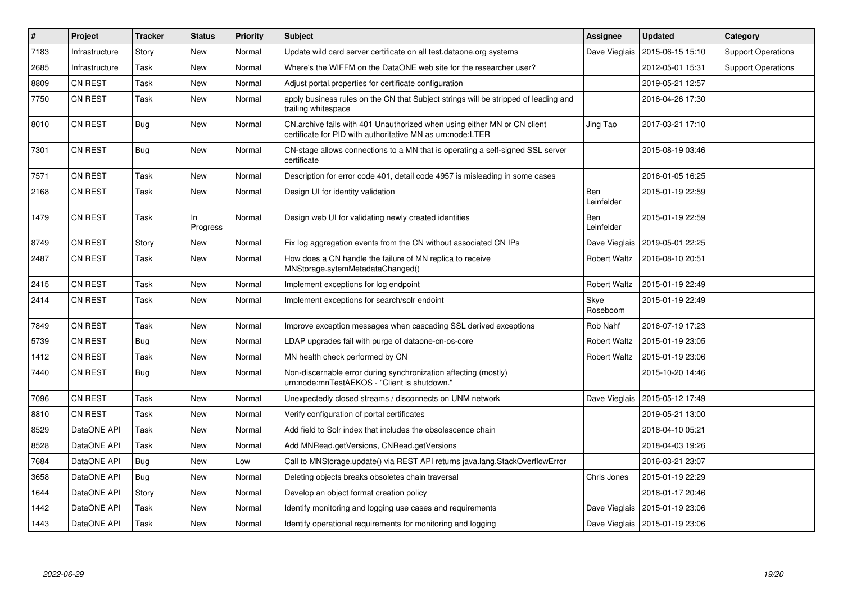| $\pmb{\#}$ | Project        | <b>Tracker</b> | <b>Status</b>   | Priority | <b>Subject</b>                                                                                                                         | Assignee                 | <b>Updated</b>                   | Category                  |
|------------|----------------|----------------|-----------------|----------|----------------------------------------------------------------------------------------------------------------------------------------|--------------------------|----------------------------------|---------------------------|
| 7183       | Infrastructure | Story          | New             | Normal   | Update wild card server certificate on all test.dataone.org systems                                                                    | Dave Vieglais            | 2015-06-15 15:10                 | <b>Support Operations</b> |
| 2685       | Infrastructure | Task           | New             | Normal   | Where's the WIFFM on the DataONE web site for the researcher user?                                                                     |                          | 2012-05-01 15:31                 | <b>Support Operations</b> |
| 8809       | CN REST        | Task           | New             | Normal   | Adjust portal properties for certificate configuration                                                                                 |                          | 2019-05-21 12:57                 |                           |
| 7750       | CN REST        | Task           | New             | Normal   | apply business rules on the CN that Subject strings will be stripped of leading and<br>trailing whitespace                             |                          | 2016-04-26 17:30                 |                           |
| 8010       | CN REST        | <b>Bug</b>     | New             | Normal   | CN.archive fails with 401 Unauthorized when using either MN or CN client<br>certificate for PID with authoritative MN as urn:node:LTER | Jing Tao                 | 2017-03-21 17:10                 |                           |
| 7301       | CN REST        | Bug            | New             | Normal   | CN-stage allows connections to a MN that is operating a self-signed SSL server<br>certificate                                          |                          | 2015-08-19 03:46                 |                           |
| 7571       | CN REST        | Task           | New             | Normal   | Description for error code 401, detail code 4957 is misleading in some cases                                                           |                          | 2016-01-05 16:25                 |                           |
| 2168       | CN REST        | Task           | New             | Normal   | Design UI for identity validation                                                                                                      | <b>Ben</b><br>Leinfelder | 2015-01-19 22:59                 |                           |
| 1479       | CN REST        | Task           | ln.<br>Progress | Normal   | Design web UI for validating newly created identities                                                                                  | Ben<br>Leinfelder        | 2015-01-19 22:59                 |                           |
| 8749       | CN REST        | Story          | New             | Normal   | Fix log aggregation events from the CN without associated CN IPs                                                                       | Dave Vieglais            | 2019-05-01 22:25                 |                           |
| 2487       | CN REST        | Task           | New             | Normal   | How does a CN handle the failure of MN replica to receive<br>MNStorage.sytemMetadataChanged()                                          | <b>Robert Waltz</b>      | 2016-08-10 20:51                 |                           |
| 2415       | CN REST        | Task           | New             | Normal   | Implement exceptions for log endpoint                                                                                                  | Robert Waltz             | 2015-01-19 22:49                 |                           |
| 2414       | CN REST        | Task           | New             | Normal   | Implement exceptions for search/solr endoint                                                                                           | Skye<br>Roseboom         | 2015-01-19 22:49                 |                           |
| 7849       | CN REST        | Task           | New             | Normal   | Improve exception messages when cascading SSL derived exceptions                                                                       | Rob Nahf                 | 2016-07-19 17:23                 |                           |
| 5739       | CN REST        | <b>Bug</b>     | New             | Normal   | LDAP upgrades fail with purge of dataone-cn-os-core                                                                                    | <b>Robert Waltz</b>      | 2015-01-19 23:05                 |                           |
| 1412       | <b>CN REST</b> | Task           | New             | Normal   | MN health check performed by CN                                                                                                        | Robert Waltz             | 2015-01-19 23:06                 |                           |
| 7440       | CN REST        | <b>Bug</b>     | New             | Normal   | Non-discernable error during synchronization affecting (mostly)<br>urn:node:mnTestAEKOS - "Client is shutdown."                        |                          | 2015-10-20 14:46                 |                           |
| 7096       | CN REST        | Task           | New             | Normal   | Unexpectedly closed streams / disconnects on UNM network                                                                               | Dave Vieglais            | 2015-05-12 17:49                 |                           |
| 8810       | CN REST        | Task           | New             | Normal   | Verify configuration of portal certificates                                                                                            |                          | 2019-05-21 13:00                 |                           |
| 8529       | DataONE API    | Task           | New             | Normal   | Add field to Solr index that includes the obsolescence chain                                                                           |                          | 2018-04-10 05:21                 |                           |
| 8528       | DataONE API    | Task           | New             | Normal   | Add MNRead.getVersions, CNRead.getVersions                                                                                             |                          | 2018-04-03 19:26                 |                           |
| 7684       | DataONE API    | Bug            | New             | Low      | Call to MNStorage.update() via REST API returns java.lang.StackOverflowError                                                           |                          | 2016-03-21 23:07                 |                           |
| 3658       | DataONE API    | <b>Bug</b>     | New             | Normal   | Deleting objects breaks obsoletes chain traversal                                                                                      | Chris Jones              | 2015-01-19 22:29                 |                           |
| 1644       | DataONE API    | Story          | New             | Normal   | Develop an object format creation policy                                                                                               |                          | 2018-01-17 20:46                 |                           |
| 1442       | DataONE API    | Task           | New             | Normal   | Identify monitoring and logging use cases and requirements                                                                             | Dave Vieglais            | 2015-01-19 23:06                 |                           |
| 1443       | DataONE API    | Task           | New             | Normal   | Identify operational requirements for monitoring and logging                                                                           |                          | Dave Vieglais   2015-01-19 23:06 |                           |